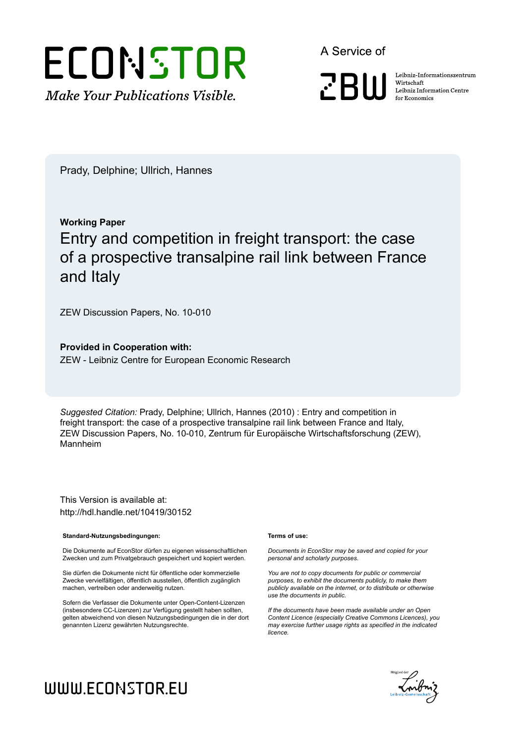

A Service of

**PRIII** 

Leibniz Informationszentrum Wirtschaft Leibniz Information Centre for Economics

Prady, Delphine; Ullrich, Hannes

# **Working Paper** Entry and competition in freight transport: the case of a prospective transalpine rail link between France and Italy

ZEW Discussion Papers, No. 10-010

**Provided in Cooperation with:** ZEW - Leibniz Centre for European Economic Research

*Suggested Citation:* Prady, Delphine; Ullrich, Hannes (2010) : Entry and competition in freight transport: the case of a prospective transalpine rail link between France and Italy, ZEW Discussion Papers, No. 10-010, Zentrum für Europäische Wirtschaftsforschung (ZEW), Mannheim

This Version is available at: http://hdl.handle.net/10419/30152

#### **Standard-Nutzungsbedingungen:**

Die Dokumente auf EconStor dürfen zu eigenen wissenschaftlichen Zwecken und zum Privatgebrauch gespeichert und kopiert werden.

Sie dürfen die Dokumente nicht für öffentliche oder kommerzielle Zwecke vervielfältigen, öffentlich ausstellen, öffentlich zugänglich machen, vertreiben oder anderweitig nutzen.

Sofern die Verfasser die Dokumente unter Open-Content-Lizenzen (insbesondere CC-Lizenzen) zur Verfügung gestellt haben sollten, gelten abweichend von diesen Nutzungsbedingungen die in der dort genannten Lizenz gewährten Nutzungsrechte.

#### **Terms of use:**

*Documents in EconStor may be saved and copied for your personal and scholarly purposes.*

*You are not to copy documents for public or commercial purposes, to exhibit the documents publicly, to make them publicly available on the internet, or to distribute or otherwise use the documents in public.*

*If the documents have been made available under an Open Content Licence (especially Creative Commons Licences), you may exercise further usage rights as specified in the indicated licence.*



# WWW.ECONSTOR.EU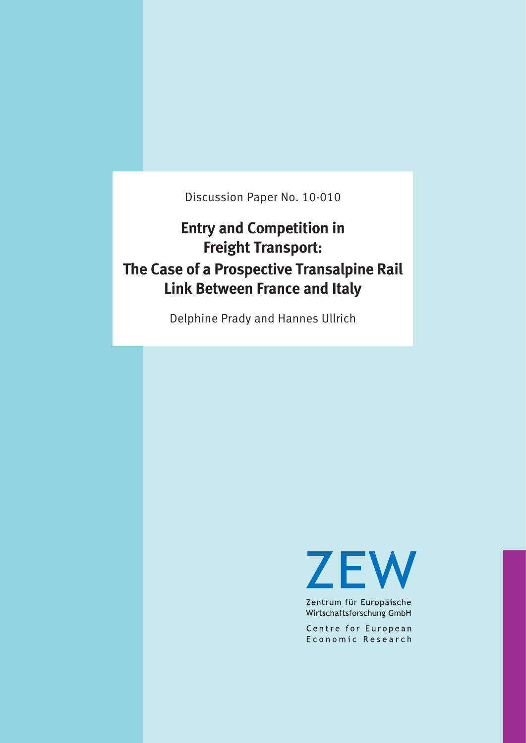Discussion Paper No. 10-010

# **Entry and Competition in Freight Transport: The Case of a Prospective Transalpine Rail Link Between France and Italy**

Delphine Prady and Hannes Ullrich

**ZEW** 

Zentrum für Europäische Wirtschaftsforschung GmbH

Centre for European Economic Research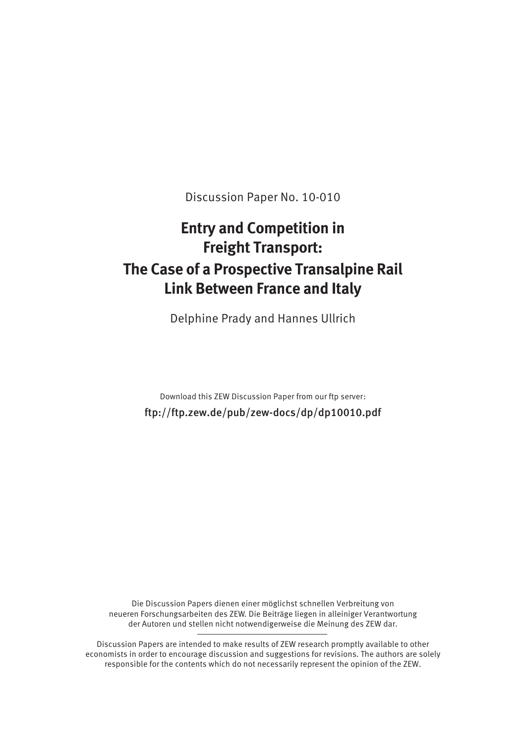Discussion Paper No. 10-010

# **Entry and Competition in Freight Transport: The Case of a Prospective Transalpine Rail Link Between France and Italy**

Delphine Prady and Hannes Ullrich

Download this ZEW Discussion Paper from our ftp server: ftp://ftp.zew.de/pub/zew-docs/dp/dp10010.pdf

Die Discussion Papers dienen einer möglichst schnellen Verbreitung von neueren Forschungsarbeiten des ZEW. Die Beiträge liegen in alleiniger Verantwortung der Autoren und stellen nicht notwendigerweise die Meinung des ZEW dar.

Discussion Papers are intended to make results of ZEW research promptly available to other economists in order to encourage discussion and suggestions for revisions. The authors are solely responsible for the contents which do not necessarily represent the opinion of the ZEW.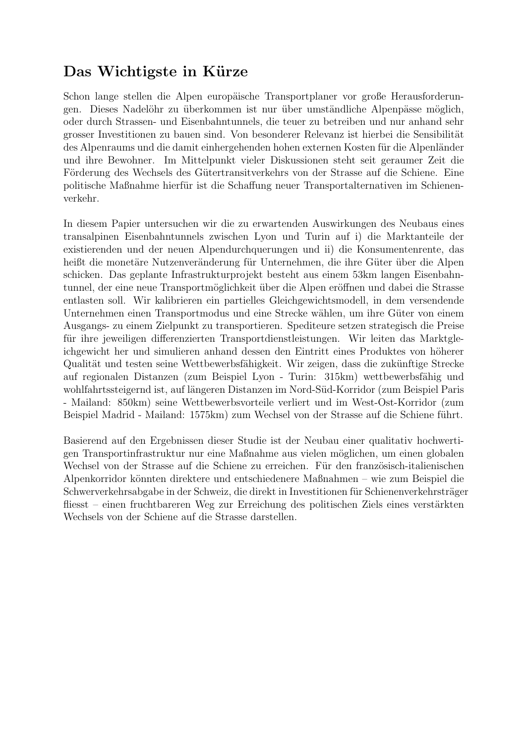## Das Wichtigste in Kürze

Schon lange stellen die Alpen europäische Transportplaner vor große Herausforderungen. Dieses Nadelöhr zu überkommen ist nur über umständliche Alpenpässe möglich, oder durch Strassen- und Eisenbahntunnels, die teuer zu betreiben und nur anhand sehr grosser Investitionen zu bauen sind. Von besonderer Relevanz ist hierbei die Sensibilität des Alpenraums und die damit einhergehenden hohen externen Kosten für die Alpenländer und ihre Bewohner. Im Mittelpunkt vieler Diskussionen steht seit geraumer Zeit die Förderung des Wechsels des Gütertransitverkehrs von der Strasse auf die Schiene. Eine politische Maßnahme hierfür ist die Schaffung neuer Transportalternativen im Schienenverkehr.

In diesem Papier untersuchen wir die zu erwartenden Auswirkungen des Neubaus eines transalpinen Eisenbahntunnels zwischen Lyon und Turin auf i) die Marktanteile der existierenden und der neuen Alpendurchquerungen und ii) die Konsumentenrente, das heißt die monetäre Nutzenveränderung für Unternehmen, die ihre Güter über die Alpen schicken. Das geplante Infrastrukturprojekt besteht aus einem 53km langen Eisenbahntunnel, der eine neue Transportmöglichkeit über die Alpen eröffnen und dabei die Strasse entlasten soll. Wir kalibrieren ein partielles Gleichgewichtsmodell, in dem versendende Unternehmen einen Transportmodus und eine Strecke wählen, um ihre Güter von einem Ausgangs- zu einem Zielpunkt zu transportieren. Spediteure setzen strategisch die Preise für ihre jeweiligen differenzierten Transportdienstleistungen. Wir leiten das Marktgleichgewicht her und simulieren anhand dessen den Eintritt eines Produktes von höherer Qualität und testen seine Wettbewerbsfähigkeit. Wir zeigen, dass die zukünftige Strecke auf regionalen Distanzen (zum Beispiel Lyon - Turin: 315km) wettbewerbsfähig und wohlfahrtssteigernd ist, auf längeren Distanzen im Nord-Süd-Korridor (zum Beispiel Paris - Mailand: 850km) seine Wettbewerbsvorteile verliert und im West-Ost-Korridor (zum Beispiel Madrid - Mailand: 1575km) zum Wechsel von der Strasse auf die Schiene führt.

Basierend auf den Ergebnissen dieser Studie ist der Neubau einer qualitativ hochwertigen Transportinfrastruktur nur eine Maßnahme aus vielen möglichen, um einen globalen Wechsel von der Strasse auf die Schiene zu erreichen. Für den französisch-italienischen Alpenkorridor könnten direktere und entschiedenere Maßnahmen – wie zum Beispiel die Schwerverkehrsabgabe in der Schweiz, die direkt in Investitionen für Schienenverkehrsträger fliesst – einen fruchtbareren Weg zur Erreichung des politischen Ziels eines verstärkten Wechsels von der Schiene auf die Strasse darstellen.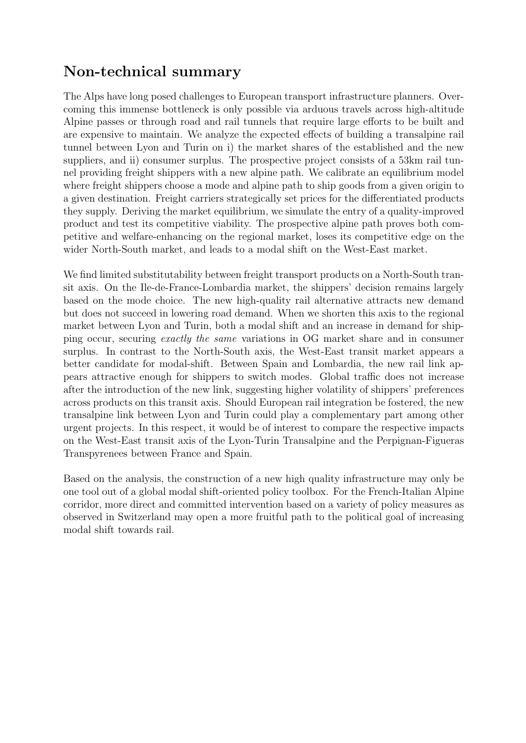# Non-technical summary

The Alps have long posed challenges to European transport infrastructure planners. Overcoming this immense bottleneck is only possible via arduous travels across high-altitude Alpine passes or through road and rail tunnels that require large efforts to be built and are expensive to maintain. We analyze the expected effects of building a transalpine rail tunnel between Lyon and Turin on i) the market shares of the established and the new suppliers, and ii) consumer surplus. The prospective project consists of a 53km rail tunnel providing freight shippers with a new alpine path. We calibrate an equilibrium model where freight shippers choose a mode and alpine path to ship goods from a given origin to a given destination. Freight carriers strategically set prices for the differentiated products they supply. Deriving the market equilibrium, we simulate the entry of a quality-improved product and test its competitive viability. The prospective alpine path proves both competitive and welfare-enhancing on the regional market, loses its competitive edge on the wider North-South market, and leads to a modal shift on the West-East market.

We find limited substitutability between freight transport products on a North-South transit axis. On the Ile-de-France-Lombardia market, the shippers' decision remains largely based on the mode choice. The new high-quality rail alternative attracts new demand but does not succeed in lowering road demand. When we shorten this axis to the regional market between Lyon and Turin, both a modal shift and an increase in demand for shipping occur, securing exactly the same variations in OG market share and in consumer surplus. In contrast to the North-South axis, the West-East transit market appears a better candidate for modal-shift. Between Spain and Lombardia, the new rail link appears attractive enough for shippers to switch modes. Global traffic does not increase after the introduction of the new link, suggesting higher volatility of shippers' preferences across products on this transit axis. Should European rail integration be fostered, the new transalpine link between Lyon and Turin could play a complementary part among other urgent projects. In this respect, it would be of interest to compare the respective impacts on the West-East transit axis of the Lyon-Turin Transalpine and the Perpignan-Figueras Transpyrenees between France and Spain.

Based on the analysis, the construction of a new high quality infrastructure may only be one tool out of a global modal shift-oriented policy toolbox. For the French-Italian Alpine corridor, more direct and committed intervention based on a variety of policy measures as observed in Switzerland may open a more fruitful path to the political goal of increasing modal shift towards rail.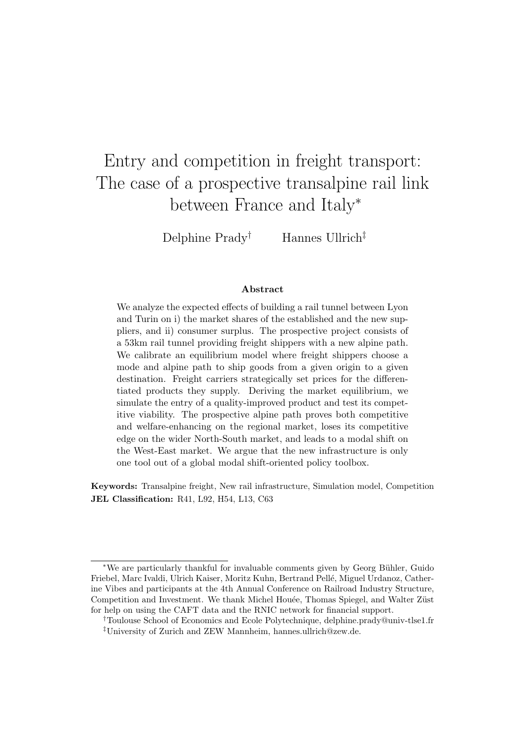# Entry and competition in freight transport: The case of a prospective transalpine rail link between France and Italy<sup>∗</sup>

Delphine Prady† Hannes Ullrich‡

#### Abstract

We analyze the expected effects of building a rail tunnel between Lyon and Turin on i) the market shares of the established and the new suppliers, and ii) consumer surplus. The prospective project consists of a 53km rail tunnel providing freight shippers with a new alpine path. We calibrate an equilibrium model where freight shippers choose a mode and alpine path to ship goods from a given origin to a given destination. Freight carriers strategically set prices for the differentiated products they supply. Deriving the market equilibrium, we simulate the entry of a quality-improved product and test its competitive viability. The prospective alpine path proves both competitive and welfare-enhancing on the regional market, loses its competitive edge on the wider North-South market, and leads to a modal shift on the West-East market. We argue that the new infrastructure is only one tool out of a global modal shift-oriented policy toolbox.

Keywords: Transalpine freight, New rail infrastructure, Simulation model, Competition JEL Classification: R41, L92, H54, L13, C63

<sup>∗</sup>We are particularly thankful for invaluable comments given by Georg B¨uhler, Guido Friebel, Marc Ivaldi, Ulrich Kaiser, Moritz Kuhn, Bertrand Pell´e, Miguel Urdanoz, Catherine Vibes and participants at the 4th Annual Conference on Railroad Industry Structure, Competition and Investment. We thank Michel Houée, Thomas Spiegel, and Walter Züst for help on using the CAFT data and the RNIC network for financial support.

<sup>†</sup>Toulouse School of Economics and Ecole Polytechnique, delphine.prady@univ-tlse1.fr ‡University of Zurich and ZEW Mannheim, hannes.ullrich@zew.de.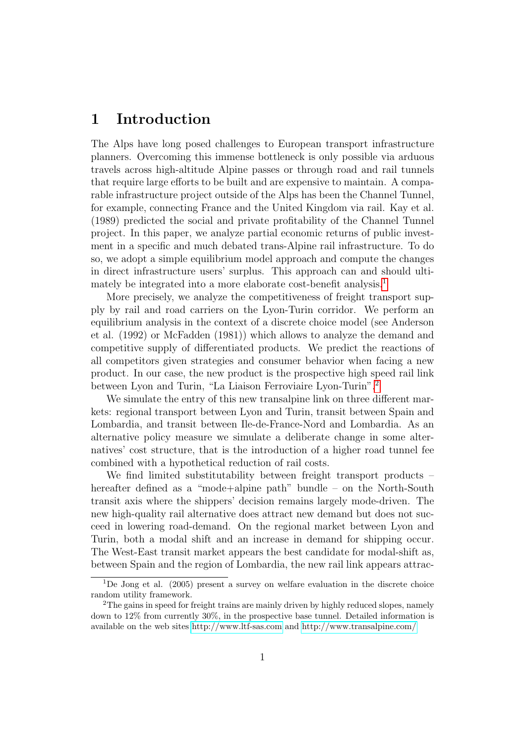### 1 Introduction

The Alps have long posed challenges to European transport infrastructure planners. Overcoming this immense bottleneck is only possible via arduous travels across high-altitude Alpine passes or through road and rail tunnels that require large efforts to be built and are expensive to maintain. A comparable infrastructure project outside of the Alps has been the Channel Tunnel, for example, connecting France and the United Kingdom via rail. Kay et al. (1989) predicted the social and private profitability of the Channel Tunnel project. In this paper, we analyze partial economic returns of public investment in a specific and much debated trans-Alpine rail infrastructure. To do so, we adopt a simple equilibrium model approach and compute the changes in direct infrastructure users' surplus. This approach can and should ulti-mately be integrated into a more elaborate cost-benefit analysis.<sup>[1](#page-6-0)</sup>

More precisely, we analyze the competitiveness of freight transport supply by rail and road carriers on the Lyon-Turin corridor. We perform an equilibrium analysis in the context of a discrete choice model (see Anderson et al. (1992) or McFadden (1981)) which allows to analyze the demand and competitive supply of differentiated products. We predict the reactions of all competitors given strategies and consumer behavior when facing a new product. In our case, the new product is the prospective high speed rail link between Lyon and Turin, "La Liaison Ferroviaire Lyon-Turin".[2](#page-6-1)

We simulate the entry of this new transalpine link on three different markets: regional transport between Lyon and Turin, transit between Spain and Lombardia, and transit between Ile-de-France-Nord and Lombardia. As an alternative policy measure we simulate a deliberate change in some alternatives' cost structure, that is the introduction of a higher road tunnel fee combined with a hypothetical reduction of rail costs.

We find limited substitutability between freight transport products – hereafter defined as a "mode+alpine path" bundle – on the North-South transit axis where the shippers' decision remains largely mode-driven. The new high-quality rail alternative does attract new demand but does not succeed in lowering road-demand. On the regional market between Lyon and Turin, both a modal shift and an increase in demand for shipping occur. The West-East transit market appears the best candidate for modal-shift as, between Spain and the region of Lombardia, the new rail link appears attrac-

<span id="page-6-0"></span> $1$ De Jong et al. (2005) present a survey on welfare evaluation in the discrete choice random utility framework.

<span id="page-6-1"></span><sup>&</sup>lt;sup>2</sup>The gains in speed for freight trains are mainly driven by highly reduced slopes, namely down to 12% from currently 30%, in the prospective base tunnel. Detailed information is available on the web sites<http://www.ltf-sas.com> and<http://www.transalpine.com/>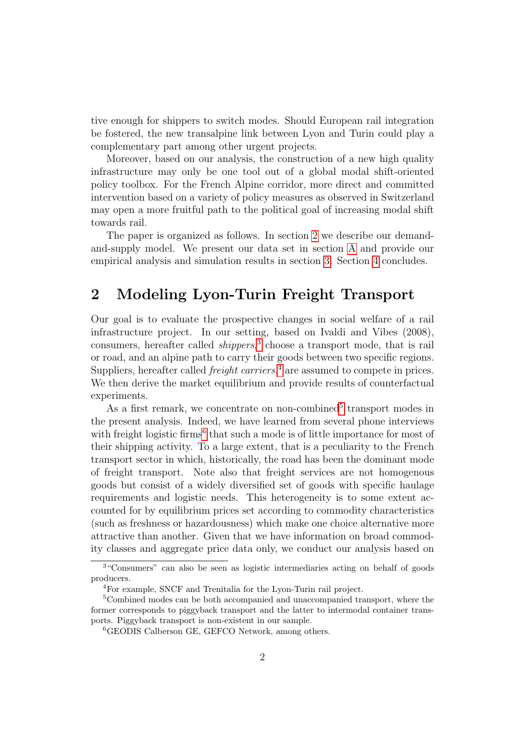tive enough for shippers to switch modes. Should European rail integration be fostered, the new transalpine link between Lyon and Turin could play a complementary part among other urgent projects.

Moreover, based on our analysis, the construction of a new high quality infrastructure may only be one tool out of a global modal shift-oriented policy toolbox. For the French Alpine corridor, more direct and committed intervention based on a variety of policy measures as observed in Switzerland may open a more fruitful path to the political goal of increasing modal shift towards rail.

The paper is organized as follows. In section [2](#page-7-0) we describe our demandand-supply model. We present our data set in section [A](#page-25-0) and provide our empirical analysis and simulation results in section [3.](#page-14-0) Section [4](#page-21-0) concludes.

### <span id="page-7-0"></span>2 Modeling Lyon-Turin Freight Transport

Our goal is to evaluate the prospective changes in social welfare of a rail infrastructure project. In our setting, based on Ivaldi and Vibes (2008), consumers, hereafter called *shippers*,<sup>[3](#page-7-1)</sup> choose a transport mode, that is rail or road, and an alpine path to carry their goods between two specific regions. Suppliers, hereafter called *freight carriers*,<sup>[4](#page-7-2)</sup> are assumed to compete in prices. We then derive the market equilibrium and provide results of counterfactual experiments.

As a first remark, we concentrate on non-combined<sup>[5](#page-7-3)</sup> transport modes in the present analysis. Indeed, we have learned from several phone interviews with freight logistic firms<sup>[6](#page-7-4)</sup> that such a mode is of little importance for most of their shipping activity. To a large extent, that is a peculiarity to the French transport sector in which, historically, the road has been the dominant mode of freight transport. Note also that freight services are not homogenous goods but consist of a widely diversified set of goods with specific haulage requirements and logistic needs. This heterogeneity is to some extent accounted for by equilibrium prices set according to commodity characteristics (such as freshness or hazardousness) which make one choice alternative more attractive than another. Given that we have information on broad commodity classes and aggregate price data only, we conduct our analysis based on

<span id="page-7-1"></span><sup>&</sup>lt;sup>3"</sup>Consumers" can also be seen as logistic intermediaries acting on behalf of goods producers.

<span id="page-7-3"></span><span id="page-7-2"></span><sup>4</sup>For example, SNCF and Trenitalia for the Lyon-Turin rail project.

<sup>5</sup>Combined modes can be both accompanied and unaccompanied transport, where the former corresponds to piggyback transport and the latter to intermodal container transports. Piggyback transport is non-existent in our sample.

<span id="page-7-4"></span><sup>&</sup>lt;sup>6</sup>GEODIS Calberson GE, GEFCO Network, among others.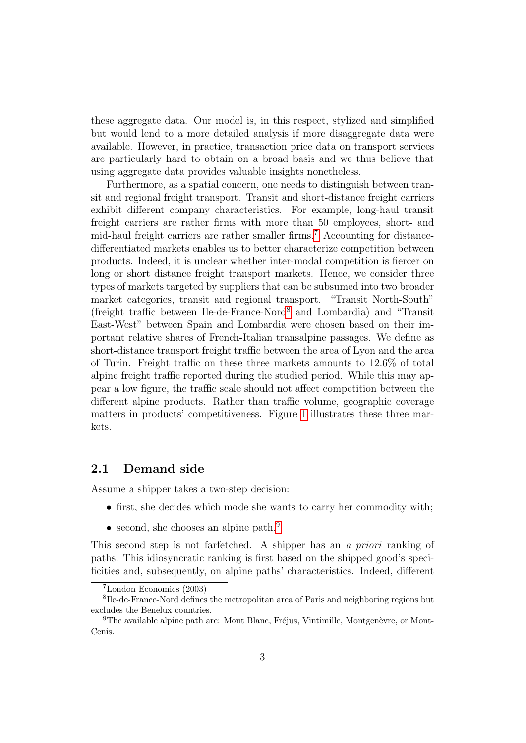these aggregate data. Our model is, in this respect, stylized and simplified but would lend to a more detailed analysis if more disaggregate data were available. However, in practice, transaction price data on transport services are particularly hard to obtain on a broad basis and we thus believe that using aggregate data provides valuable insights nonetheless.

Furthermore, as a spatial concern, one needs to distinguish between transit and regional freight transport. Transit and short-distance freight carriers exhibit different company characteristics. For example, long-haul transit freight carriers are rather firms with more than 50 employees, short- and mid-haul freight carriers are rather smaller firms.[7](#page-8-0) Accounting for distancedifferentiated markets enables us to better characterize competition between products. Indeed, it is unclear whether inter-modal competition is fiercer on long or short distance freight transport markets. Hence, we consider three types of markets targeted by suppliers that can be subsumed into two broader market categories, transit and regional transport. "Transit North-South" (freight traffic between Ile-de-France-Nord[8](#page-8-1) and Lombardia) and "Transit East-West" between Spain and Lombardia were chosen based on their important relative shares of French-Italian transalpine passages. We define as short-distance transport freight traffic between the area of Lyon and the area of Turin. Freight traffic on these three markets amounts to 12.6% of total alpine freight traffic reported during the studied period. While this may appear a low figure, the traffic scale should not affect competition between the different alpine products. Rather than traffic volume, geographic coverage matters in products' competitiveness. Figure [1](#page-9-0) illustrates these three markets.

#### <span id="page-8-3"></span>2.1 Demand side

Assume a shipper takes a two-step decision:

- first, she decides which mode she wants to carry her commodity with;
- second, she chooses an alpine path.<sup>[9](#page-8-2)</sup>

This second step is not farfetched. A shipper has an a priori ranking of paths. This idiosyncratic ranking is first based on the shipped good's specificities and, subsequently, on alpine paths' characteristics. Indeed, different

<span id="page-8-1"></span><span id="page-8-0"></span><sup>7</sup>London Economics (2003)

<sup>8</sup> Ile-de-France-Nord defines the metropolitan area of Paris and neighboring regions but excludes the Benelux countries.

<span id="page-8-2"></span> $9$ The available alpine path are: Mont Blanc, Fréjus, Vintimille, Montgenèvre, or Mont-Cenis.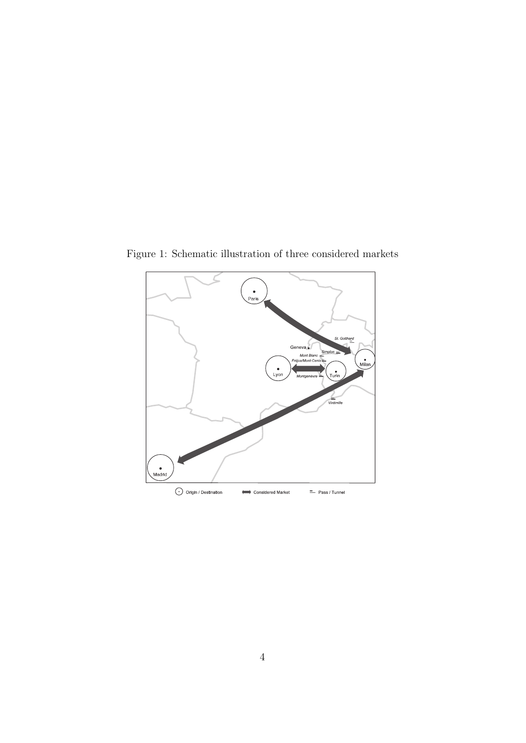<span id="page-9-0"></span>

Figure 1: Schematic illustration of three considered markets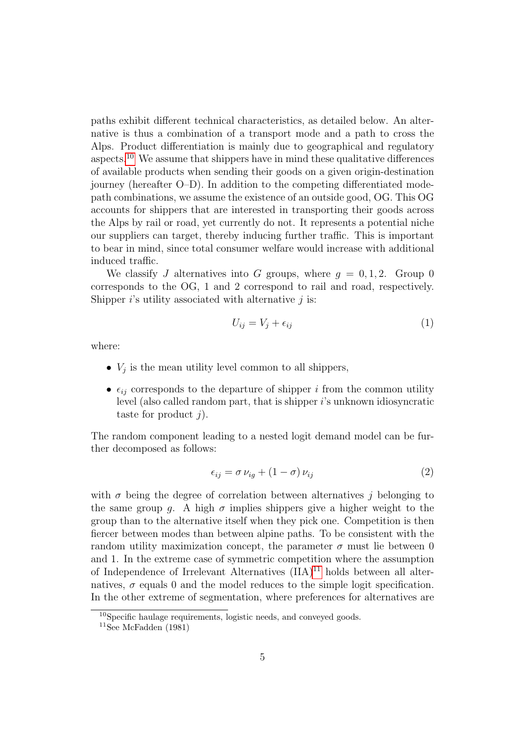paths exhibit different technical characteristics, as detailed below. An alternative is thus a combination of a transport mode and a path to cross the Alps. Product differentiation is mainly due to geographical and regulatory aspects.[10](#page-10-0) We assume that shippers have in mind these qualitative differences of available products when sending their goods on a given origin-destination journey (hereafter O–D). In addition to the competing differentiated modepath combinations, we assume the existence of an outside good, OG. This OG accounts for shippers that are interested in transporting their goods across the Alps by rail or road, yet currently do not. It represents a potential niche our suppliers can target, thereby inducing further traffic. This is important to bear in mind, since total consumer welfare would increase with additional induced traffic.

We classify J alternatives into G groups, where  $q = 0, 1, 2$ . Group 0 corresponds to the OG, 1 and 2 correspond to rail and road, respectively. Shipper  $i$ 's utility associated with alternative  $j$  is:

$$
U_{ij} = V_j + \epsilon_{ij} \tag{1}
$$

where:

- $V_j$  is the mean utility level common to all shippers,
- $\epsilon_{ij}$  corresponds to the departure of shipper i from the common utility level (also called random part, that is shipper i's unknown idiosyncratic taste for product  $j$ ).

The random component leading to a nested logit demand model can be further decomposed as follows:

$$
\epsilon_{ij} = \sigma \nu_{ig} + (1 - \sigma) \nu_{ij} \tag{2}
$$

with  $\sigma$  being the degree of correlation between alternatives j belonging to the same group q. A high  $\sigma$  implies shippers give a higher weight to the group than to the alternative itself when they pick one. Competition is then fiercer between modes than between alpine paths. To be consistent with the random utility maximization concept, the parameter  $\sigma$  must lie between 0 and 1. In the extreme case of symmetric competition where the assumption of Independence of Irrelevant Alternatives  $(IIA)^{11}$  $(IIA)^{11}$  $(IIA)^{11}$  holds between all alternatives,  $\sigma$  equals 0 and the model reduces to the simple logit specification. In the other extreme of segmentation, where preferences for alternatives are

<span id="page-10-0"></span><sup>10</sup>Specific haulage requirements, logistic needs, and conveyed goods.

<span id="page-10-1"></span><sup>&</sup>lt;sup>11</sup>See McFadden  $(1981)$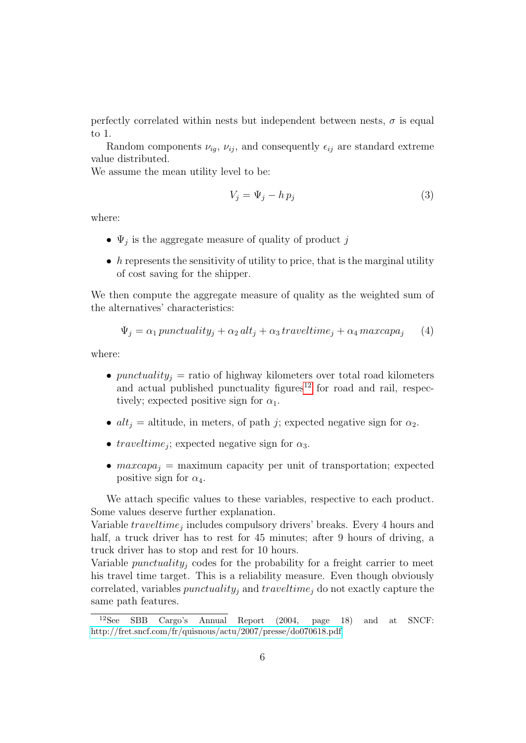perfectly correlated within nests but independent between nests,  $\sigma$  is equal to 1.

Random components  $\nu_{iq}$ ,  $\nu_{ij}$ , and consequently  $\epsilon_{ij}$  are standard extreme value distributed.

We assume the mean utility level to be:

$$
V_j = \Psi_j - h p_j \tag{3}
$$

where:

- $\Psi_j$  is the aggregate measure of quality of product j
- h represents the sensitivity of utility to price, that is the marginal utility of cost saving for the shipper.

We then compute the aggregate measure of quality as the weighted sum of the alternatives' characteristics:

<span id="page-11-1"></span>
$$
\Psi_j = \alpha_1 \, punctuality_j + \alpha_2 \, alt_j + \alpha_3 \, travel time_j + \alpha_4 \, maxcapaj \tag{4}
$$

where:

- punctuality<sub>i</sub> = ratio of highway kilometers over total road kilometers and actual published punctuality figures<sup>[12](#page-11-0)</sup> for road and rail, respectively; expected positive sign for  $\alpha_1$ .
- $alt<sub>j</sub>$  = altitude, in meters, of path j; expected negative sign for  $\alpha_2$ .
- *traveltime<sub>j</sub>*; expected negative sign for  $\alpha_3$ .
- $maxcapa_j$  = maximum capacity per unit of transportation; expected positive sign for  $\alpha_4$ .

We attach specific values to these variables, respective to each product. Some values deserve further explanation.

Variable  $traveltime_j$  includes compulsory drivers' breaks. Every 4 hours and half, a truck driver has to rest for 45 minutes; after 9 hours of driving, a truck driver has to stop and rest for 10 hours.

Variable *punctuality<sub>i</sub>* codes for the probability for a freight carrier to meet his travel time target. This is a reliability measure. Even though obviously correlated, variables *punctuality<sub>j</sub>* and  $traveltime_j$  do not exactly capture the same path features.

<span id="page-11-0"></span> $12$ See SBB Cargo's Annual Report (2004, page 18) and at SNCF: <http://fret.sncf.com/fr/quisnous/actu/2007/presse/do070618.pdf>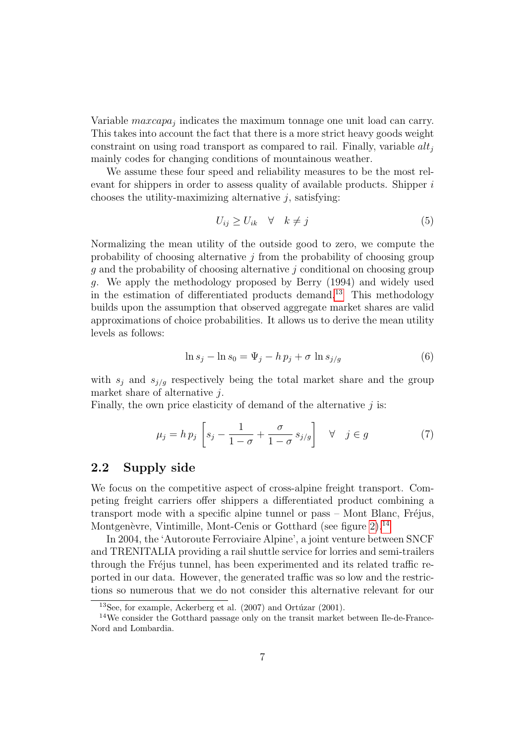Variable  $maxcap_{j}$  indicates the maximum tonnage one unit load can carry. This takes into account the fact that there is a more strict heavy goods weight constraint on using road transport as compared to rail. Finally, variable  $alt_i$ mainly codes for changing conditions of mountainous weather.

We assume these four speed and reliability measures to be the most relevant for shippers in order to assess quality of available products. Shipper is chooses the utility-maximizing alternative  $j$ , satisfying:

$$
U_{ij} \ge U_{ik} \quad \forall \quad k \ne j \tag{5}
$$

Normalizing the mean utility of the outside good to zero, we compute the probability of choosing alternative  $j$  from the probability of choosing group g and the probability of choosing alternative j conditional on choosing group g. We apply the methodology proposed by Berry (1994) and widely used in the estimation of differentiated products demand.<sup>[13](#page-12-0)</sup> This methodology builds upon the assumption that observed aggregate market shares are valid approximations of choice probabilities. It allows us to derive the mean utility levels as follows:

$$
\ln s_j - \ln s_0 = \Psi_j - h p_j + \sigma \ln s_{j/g} \tag{6}
$$

with  $s_j$  and  $s_{j/g}$  respectively being the total market share and the group market share of alternative j.

Finally, the own price elasticity of demand of the alternative  $j$  is:

<span id="page-12-2"></span>
$$
\mu_j = h p_j \left[ s_j - \frac{1}{1 - \sigma} + \frac{\sigma}{1 - \sigma} s_{j/g} \right] \quad \forall \quad j \in g \tag{7}
$$

#### 2.2 Supply side

We focus on the competitive aspect of cross-alpine freight transport. Competing freight carriers offer shippers a differentiated product combining a transport mode with a specific alpine tunnel or  $pass - Mont$  Blanc, Fréjus, Montgenèvre, Vintimille, Mont-Cenis or Gotthard (see figure  $2$ ).<sup>[14](#page-12-1)</sup>

In 2004, the 'Autoroute Ferroviaire Alpine', a joint venture between SNCF and TRENITALIA providing a rail shuttle service for lorries and semi-trailers through the Fréjus tunnel, has been experimented and its related traffic reported in our data. However, the generated traffic was so low and the restrictions so numerous that we do not consider this alternative relevant for our

<span id="page-12-1"></span><span id="page-12-0"></span><sup>&</sup>lt;sup>13</sup>See, for example, Ackerberg et al.  $(2007)$  and Ortúzar  $(2001)$ .

<sup>&</sup>lt;sup>14</sup>We consider the Gotthard passage only on the transit market between Ile-de-France-Nord and Lombardia.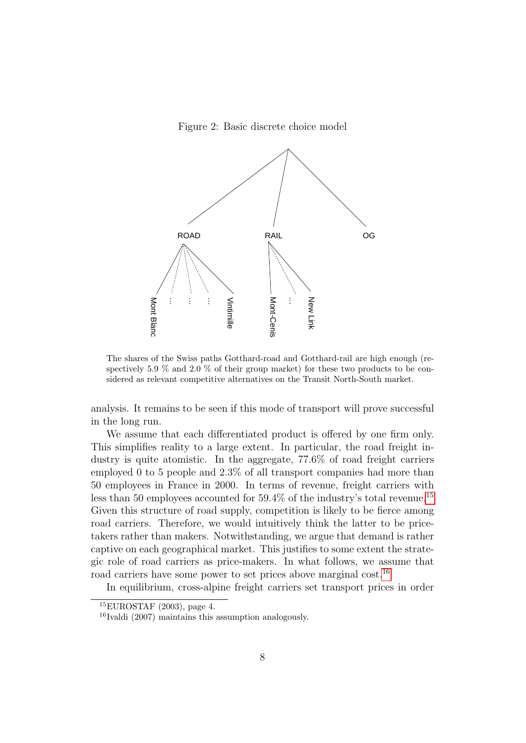<span id="page-13-0"></span>Figure 2: Basic discrete choice model



The shares of the Swiss paths Gotthard-road and Gotthard-rail are high enough (respectively 5.9  $\%$  and 2.0  $\%$  of their group market) for these two products to be considered as relevant competitive alternatives on the Transit North-South market.

analysis. It remains to be seen if this mode of transport will prove successful in the long run.

We assume that each differentiated product is offered by one firm only. This simplifies reality to a large extent. In particular, the road freight industry is quite atomistic. In the aggregate, 77.6% of road freight carriers employed 0 to 5 people and 2.3% of all transport companies had more than 50 employees in France in 2000. In terms of revenue, freight carriers with less than 50 employees accounted for  $59.4\%$  of the industry's total revenue.<sup>[15](#page-13-1)</sup> Given this structure of road supply, competition is likely to be fierce among road carriers. Therefore, we would intuitively think the latter to be pricetakers rather than makers. Notwithstanding, we argue that demand is rather captive on each geographical market. This justifies to some extent the strategic role of road carriers as price-makers. In what follows, we assume that road carriers have some power to set prices above marginal cost.<sup>[16](#page-13-2)</sup>

In equilibrium, cross-alpine freight carriers set transport prices in order

<span id="page-13-1"></span> ${}^{15}$ EUROSTAF (2003), page 4.

<span id="page-13-2"></span><sup>16</sup>Ivaldi (2007) maintains this assumption analogously.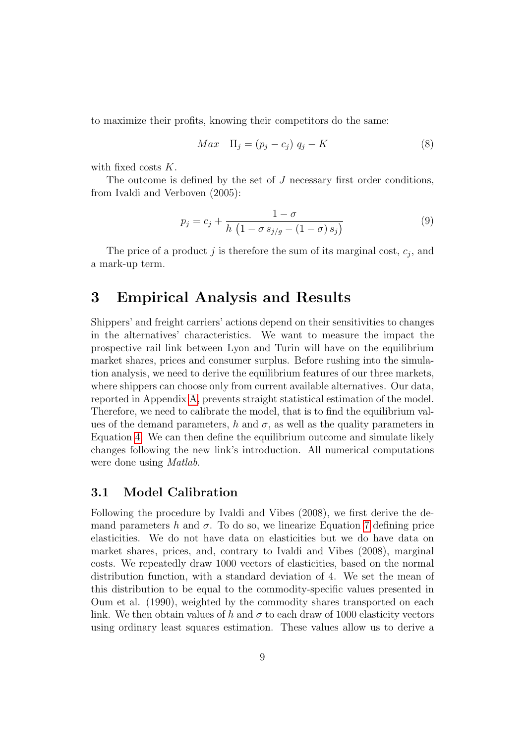to maximize their profits, knowing their competitors do the same:

$$
Max \quad \Pi_j = (p_j - c_j) \quad q_j - K \tag{8}
$$

with fixed costs K.

The outcome is defined by the set of  $J$  necessary first order conditions, from Ivaldi and Verboven (2005):

<span id="page-14-1"></span>
$$
p_j = c_j + \frac{1 - \sigma}{h \left(1 - \sigma s_{j/g} - (1 - \sigma) s_j\right)}\tag{9}
$$

The price of a product  $j$  is therefore the sum of its marginal cost,  $c_j$ , and a mark-up term.

### <span id="page-14-0"></span>3 Empirical Analysis and Results

Shippers' and freight carriers' actions depend on their sensitivities to changes in the alternatives' characteristics. We want to measure the impact the prospective rail link between Lyon and Turin will have on the equilibrium market shares, prices and consumer surplus. Before rushing into the simulation analysis, we need to derive the equilibrium features of our three markets, where shippers can choose only from current available alternatives. Our data, reported in Appendix [A,](#page-25-0) prevents straight statistical estimation of the model. Therefore, we need to calibrate the model, that is to find the equilibrium values of the demand parameters, h and  $\sigma$ , as well as the quality parameters in Equation [4.](#page-11-1) We can then define the equilibrium outcome and simulate likely changes following the new link's introduction. All numerical computations were done using Matlab.

#### 3.1 Model Calibration

Following the procedure by Ivaldi and Vibes (2008), we first derive the demand parameters h and  $\sigma$ . To do so, we linearize Equation [7](#page-12-2) defining price elasticities. We do not have data on elasticities but we do have data on market shares, prices, and, contrary to Ivaldi and Vibes (2008), marginal costs. We repeatedly draw 1000 vectors of elasticities, based on the normal distribution function, with a standard deviation of 4. We set the mean of this distribution to be equal to the commodity-specific values presented in Oum et al. (1990), weighted by the commodity shares transported on each link. We then obtain values of h and  $\sigma$  to each draw of 1000 elasticity vectors using ordinary least squares estimation. These values allow us to derive a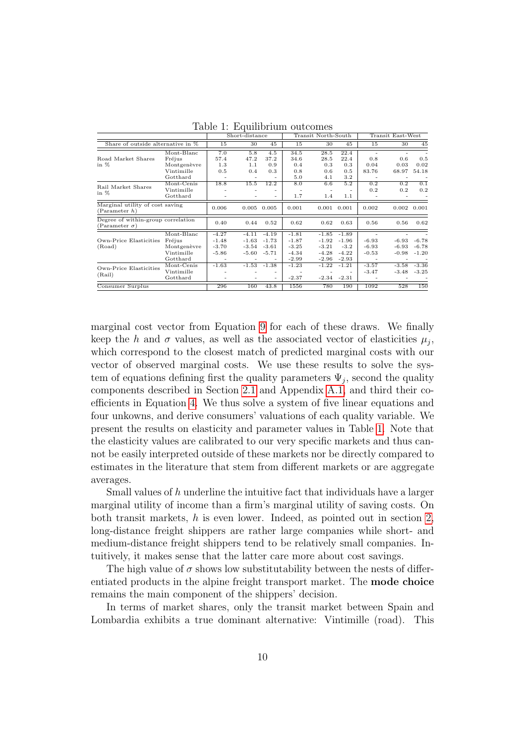|                                                            |             |                          | Short-distance |                          |         | Transit North-South |                | Transit East-West        |         |         |
|------------------------------------------------------------|-------------|--------------------------|----------------|--------------------------|---------|---------------------|----------------|--------------------------|---------|---------|
| Share of outside alternative in %                          |             | 15                       | 30             | 45                       | 15      | 30                  | 45             | 15                       | 30      | 45      |
|                                                            | Mont-Blanc  | 7.0                      | 5.8            | 4.5                      | 34.5    | 28.5                | 22.4           | $\overline{\phantom{a}}$ |         |         |
| Road Market Shares                                         | Fréjus      | 57.4                     | 47.2           | 37.2                     | 34.6    | 28.5                | 22.4           | 0.8                      | 0.6     | 0.5     |
| in $%$                                                     | Montgenèvre | 1.3                      | 1.1            | 0.9                      | 0.4     | 0.3                 | 0.3            | 0.04                     | 0.03    | 0.02    |
|                                                            | Vintimille  | 0.5                      | 0.4            | 0.3                      | 0.8     | 0.6                 | 0.5            | 83.76                    | 68.97   | 54.18   |
|                                                            | Gotthard    |                          |                |                          | 5.0     | 4.1                 | 3.2            |                          |         |         |
| Rail Market Shares                                         | Mont-Cenis  | 18.8                     | 15.5           | 12.2                     | 8.0     | 6.6                 | 5.2            | 0.2                      | 0.2     | 0.1     |
| in $%$                                                     | Vintimille  |                          |                |                          |         |                     |                | 0.2                      | 0.2     | 0.2     |
|                                                            | Gotthard    |                          |                | ٠                        | 1.7     | 1.4                 | 1.1            |                          |         |         |
| Marginal utility of cost saving<br>(Parameter h)           |             | 0.006                    | 0.005          | 0.005                    | 0.001   | 0.001               | 0.001          | 0.002                    | 0.002   | 0.001   |
| Degree of within-group correlation<br>$(Parameter \sigma)$ |             | 0.40                     | 0.44           | 0.52                     | 0.62    | 0.62                | 0.63           | 0.56                     | 0.56    | 0.62    |
|                                                            | Mont-Blanc  | $-4.27$                  | $-4.11$        | $-4.19$                  | $-1.81$ | $-1.85$             | $-1.89$        |                          |         |         |
| Own-Price Elasticities                                     | Fréjus      | $-1.48$                  | $-1.63$        | $-1.73$                  | $-1.87$ | $-1.92$             | $-1.96$        | $-6.93$                  | $-6.93$ | $-6.78$ |
| (Road)                                                     | Montgenèvre | $-3.70$                  | $-3.54$        | $-3.61$                  | $-3.25$ | $-3.21$             | $-3.2$         | $-6.93$                  | $-6.93$ | $-6.78$ |
|                                                            | Vintimille  | $-5.86$                  | -5.60          | $-5.71$                  | $-4.34$ | $-4.28$             | $-4.22$        | $-0.53$                  | $-0.98$ | $-1.20$ |
|                                                            | Gotthard    |                          |                | $\overline{\phantom{0}}$ | $-2.99$ | $-2.96$             | $-2.93$        |                          |         |         |
| Own-Price Elasticities                                     | Mont-Cenis  | $-1.63$                  |                | $-1.53 -1.38$            | $-1.23$ | $-1.22$             | $-1.21$        | $-3.57$                  | $-3.58$ | $-3.36$ |
| (Rail)                                                     | Vintimille  |                          |                |                          |         |                     |                | $-3.47$                  | $-3.48$ | $-3.25$ |
|                                                            | Gotthard    | $\overline{\phantom{0}}$ |                | $\overline{\phantom{a}}$ | $-2.37$ |                     | $-2.34 - 2.31$ |                          |         |         |
| Consumer Surplus                                           |             | 296                      | 160            | 43.8                     | 1556    | 780                 | 190            | 1092                     | 528     | 150     |

<span id="page-15-0"></span>Table 1: Equilibrium outcomes

marginal cost vector from Equation [9](#page-14-1) for each of these draws. We finally keep the h and  $\sigma$  values, as well as the associated vector of elasticities  $\mu_j$ , which correspond to the closest match of predicted marginal costs with our vector of observed marginal costs. We use these results to solve the system of equations defining first the quality parameters  $\Psi_j$ , second the quality components described in Section [2.1](#page-8-3) and Appendix [A.1,](#page-25-1) and third their coefficients in Equation [4.](#page-11-1) We thus solve a system of five linear equations and four unkowns, and derive consumers' valuations of each quality variable. We present the results on elasticity and parameter values in Table [1.](#page-15-0) Note that the elasticity values are calibrated to our very specific markets and thus cannot be easily interpreted outside of these markets nor be directly compared to estimates in the literature that stem from different markets or are aggregate averages.

Small values of h underline the intuitive fact that individuals have a larger marginal utility of income than a firm's marginal utility of saving costs. On both transit markets, h is even lower. Indeed, as pointed out in section [2,](#page-7-0) long-distance freight shippers are rather large companies while short- and medium-distance freight shippers tend to be relatively small companies. Intuitively, it makes sense that the latter care more about cost savings.

The high value of  $\sigma$  shows low substitutability between the nests of differentiated products in the alpine freight transport market. The mode choice remains the main component of the shippers' decision.

In terms of market shares, only the transit market between Spain and Lombardia exhibits a true dominant alternative: Vintimille (road). This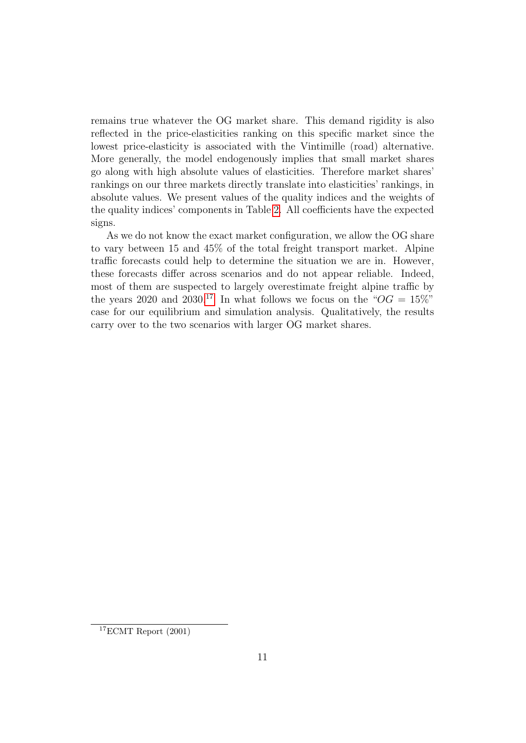remains true whatever the OG market share. This demand rigidity is also reflected in the price-elasticities ranking on this specific market since the lowest price-elasticity is associated with the Vintimille (road) alternative. More generally, the model endogenously implies that small market shares go along with high absolute values of elasticities. Therefore market shares' rankings on our three markets directly translate into elasticities' rankings, in absolute values. We present values of the quality indices and the weights of the quality indices' components in Table [2.](#page-17-0) All coefficients have the expected signs.

As we do not know the exact market configuration, we allow the OG share to vary between 15 and 45% of the total freight transport market. Alpine traffic forecasts could help to determine the situation we are in. However, these forecasts differ across scenarios and do not appear reliable. Indeed, most of them are suspected to largely overestimate freight alpine traffic by the years 2020 and 2030.<sup>[17](#page-16-0)</sup> In what follows we focus on the " $OG = 15\%$ " case for our equilibrium and simulation analysis. Qualitatively, the results carry over to the two scenarios with larger OG market shares.

<span id="page-16-0"></span> $17$ ECMT Report  $(2001)$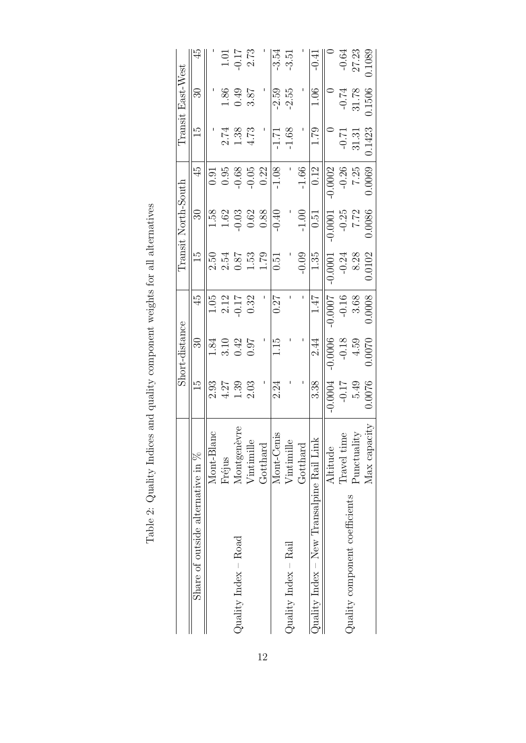<span id="page-17-0"></span>

|                                             |                                             |                  | Short-distance   |                 |                                             | $\rm Transit\ North-South$ |           |                  | Transit East-West |                             |
|---------------------------------------------|---------------------------------------------|------------------|------------------|-----------------|---------------------------------------------|----------------------------|-----------|------------------|-------------------|-----------------------------|
| Share of outside alternative in %           |                                             | $\frac{1}{5}$    | $\mathbb{S}$     | 45              | $\frac{1}{5}$                               | $\Im$                      | 45        | Ξ                | $\Im$             |                             |
|                                             | Mont-Blanc                                  | 2.93             | 1.84             | 1.05            | 2.50                                        | 1.58                       | 0.91      |                  |                   |                             |
|                                             | Fréjus                                      | $4.27$           | 3.10             |                 | 2.54                                        | 1.62                       | $0.95\,$  | 2.74             | $1.86\,$          |                             |
| $\text{Quality Index} - \text{Road}$        | Montgenèvre                                 | $1.39$<br>$2.03$ | $0.42$<br>$0.97$ | $2.12$<br>-0.17 |                                             | $-0.03$                    | $-0.68$   |                  | 0.49              | $1.01$<br>$-0.17$<br>$2.73$ |
|                                             | Vintimille                                  |                  |                  | 0.32            | $\begin{array}{c} 0.87 \\ 1.53 \end{array}$ | 0.62                       | $-0.05$   | $1.38$<br>$4.73$ | 3.87              |                             |
|                                             | Gotthard                                    |                  |                  |                 | 1.79                                        | $0.88\,$                   | 0.22      |                  |                   |                             |
|                                             | Mont-Cenis                                  | 2.24             | 1.15             | 0.27            | $\overline{0}$ .51                          | $-0.40$                    | $-1.08$   | $-1.71$          | $-2.59$           | $-3.54$                     |
| Quality Index $-$ Rail                      | Vintimille                                  |                  |                  |                 |                                             |                            |           | $-1.68$          | $-2.55$           | $-3.51$                     |
|                                             | Gotthard                                    |                  |                  |                 | $-0.09$                                     | $-1.00$                    | $-1.66$   |                  |                   |                             |
| Quality $Index - New Transalpine Rail Link$ |                                             | 3.38             | 2.44             | 1.47            | 1.35                                        | $\overline{0}$ .51         | 0.12      | 1.79             | 1.06              | $-0.41$                     |
|                                             | Altitude                                    | 0.0004           | $-0.0006$        | -0.0007         | $-0.0001$                                   | 0.0001                     | $-0.0002$ |                  |                   |                             |
|                                             | Travel time                                 | $-0.17$          | $-0.18$<br>4.59  | $-0.16$         | $-0.24$                                     | $-0.25$                    | $-0.26$   | $-0.7$           | $-0.74$<br>31.78  | $-0.64$                     |
| Quality component coefficients              | $\ensuremath{\mathsf{P}}\xspace$ unctuality | 5.49             |                  | 3.68            | 8.28                                        | 7.72                       | 7.25      | $31.31\,$        |                   | 27.23                       |
|                                             | Max capacity                                | 1.0076           | 0.0070           | 0.0008          | 0.0102                                      | 0.0086                     | 0.0069    | 0.1423           | 0.1506            | 0.1089                      |

Table 2: Quality Indices and quality component weights for all alternatives Table 2: Quality Indices and quality component weights for all alternatives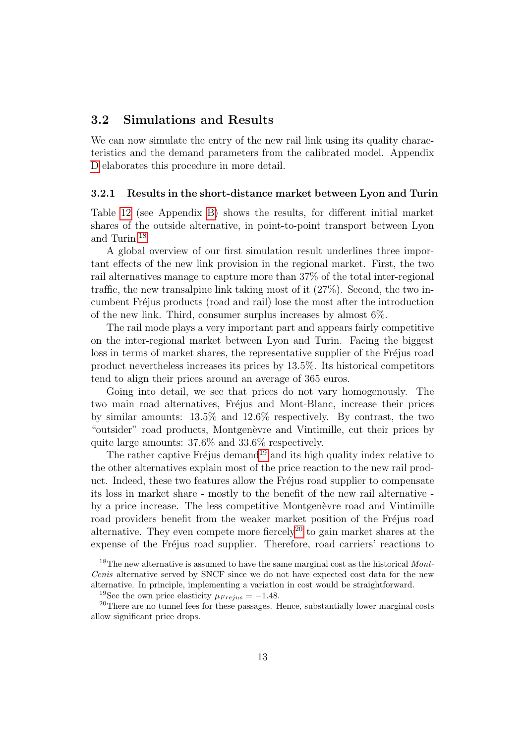#### 3.2 Simulations and Results

We can now simulate the entry of the new rail link using its quality characteristics and the demand parameters from the calibrated model. Appendix [D](#page-33-0) elaborates this procedure in more detail.

#### 3.2.1 Results in the short-distance market between Lyon and Turin

Table [12](#page-30-0) (see Appendix [B\)](#page-30-1) shows the results, for different initial market shares of the outside alternative, in point-to-point transport between Lyon and Turin.[18](#page-18-0)

A global overview of our first simulation result underlines three important effects of the new link provision in the regional market. First, the two rail alternatives manage to capture more than 37% of the total inter-regional traffic, the new transalpine link taking most of it (27%). Second, the two incumbent Fr´ejus products (road and rail) lose the most after the introduction of the new link. Third, consumer surplus increases by almost 6%.

The rail mode plays a very important part and appears fairly competitive on the inter-regional market between Lyon and Turin. Facing the biggest loss in terms of market shares, the representative supplier of the Fréjus road product nevertheless increases its prices by 13.5%. Its historical competitors tend to align their prices around an average of 365 euros.

Going into detail, we see that prices do not vary homogenously. The two main road alternatives, Fréjus and Mont-Blanc, increase their prices by similar amounts: 13.5% and 12.6% respectively. By contrast, the two "outsider" road products, Montgenèvre and Vintimille, cut their prices by quite large amounts: 37.6% and 33.6% respectively.

The rather captive Fréjus demand<sup>[19](#page-18-1)</sup> and its high quality index relative to the other alternatives explain most of the price reaction to the new rail product. Indeed, these two features allow the Fréjus road supplier to compensate its loss in market share - mostly to the benefit of the new rail alternative by a price increase. The less competitive Montgenèvre road and Vintimille road providers benefit from the weaker market position of the Fréjus road alternative. They even compete more fiercely<sup>[20](#page-18-2)</sup> to gain market shares at the expense of the Fréjus road supplier. Therefore, road carriers' reactions to

<span id="page-18-0"></span> $18$ The new alternative is assumed to have the same marginal cost as the historical Mont-Cenis alternative served by SNCF since we do not have expected cost data for the new alternative. In principle, implementing a variation in cost would be straightforward.

<span id="page-18-2"></span><span id="page-18-1"></span><sup>&</sup>lt;sup>19</sup>See the own price elasticity  $\mu_{Frejus} = -1.48$ .

<sup>&</sup>lt;sup>20</sup>There are no tunnel fees for these passages. Hence, substantially lower marginal costs allow significant price drops.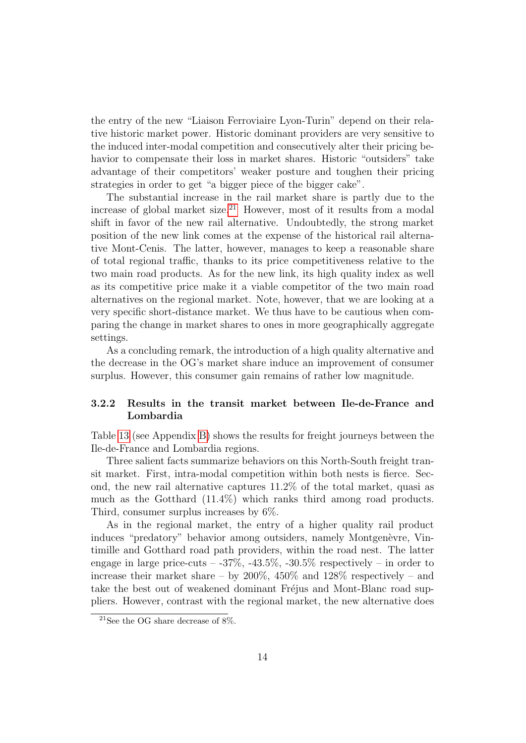the entry of the new "Liaison Ferroviaire Lyon-Turin" depend on their relative historic market power. Historic dominant providers are very sensitive to the induced inter-modal competition and consecutively alter their pricing behavior to compensate their loss in market shares. Historic "outsiders" take advantage of their competitors' weaker posture and toughen their pricing strategies in order to get "a bigger piece of the bigger cake".

The substantial increase in the rail market share is partly due to the increase of global market size.<sup>[21](#page-19-0)</sup> However, most of it results from a modal shift in favor of the new rail alternative. Undoubtedly, the strong market position of the new link comes at the expense of the historical rail alternative Mont-Cenis. The latter, however, manages to keep a reasonable share of total regional traffic, thanks to its price competitiveness relative to the two main road products. As for the new link, its high quality index as well as its competitive price make it a viable competitor of the two main road alternatives on the regional market. Note, however, that we are looking at a very specific short-distance market. We thus have to be cautious when comparing the change in market shares to ones in more geographically aggregate settings.

As a concluding remark, the introduction of a high quality alternative and the decrease in the OG's market share induce an improvement of consumer surplus. However, this consumer gain remains of rather low magnitude.

#### 3.2.2 Results in the transit market between Ile-de-France and Lombardia

Table [13](#page-31-0) (see Appendix [B\)](#page-30-1) shows the results for freight journeys between the Ile-de-France and Lombardia regions.

Three salient facts summarize behaviors on this North-South freight transit market. First, intra-modal competition within both nests is fierce. Second, the new rail alternative captures 11.2% of the total market, quasi as much as the Gotthard (11.4%) which ranks third among road products. Third, consumer surplus increases by 6%.

As in the regional market, the entry of a higher quality rail product induces "predatory" behavior among outsiders, namely Montgenèvre, Vintimille and Gotthard road path providers, within the road nest. The latter engage in large price-cuts  $-37\%$ ,  $-43.5\%$ ,  $-30.5\%$  respectively  $-$  in order to increase their market share – by  $200\%$ ,  $450\%$  and  $128\%$  respectively – and take the best out of weakened dominant Fréjus and Mont-Blanc road suppliers. However, contrast with the regional market, the new alternative does

<span id="page-19-0"></span> $^{21}\mathrm{See}$  the OG share decrease of 8%.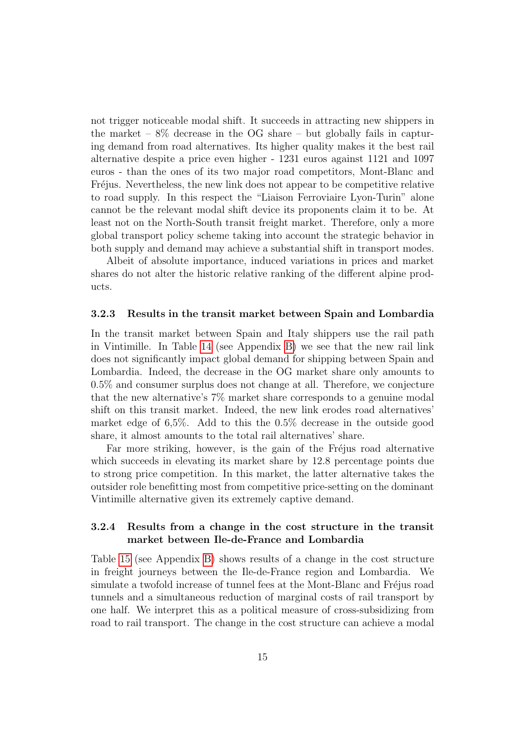not trigger noticeable modal shift. It succeeds in attracting new shippers in the market –  $8\%$  decrease in the OG share – but globally fails in capturing demand from road alternatives. Its higher quality makes it the best rail alternative despite a price even higher - 1231 euros against 1121 and 1097 euros - than the ones of its two major road competitors, Mont-Blanc and Fréjus. Nevertheless, the new link does not appear to be competitive relative to road supply. In this respect the "Liaison Ferroviaire Lyon-Turin" alone cannot be the relevant modal shift device its proponents claim it to be. At least not on the North-South transit freight market. Therefore, only a more global transport policy scheme taking into account the strategic behavior in both supply and demand may achieve a substantial shift in transport modes.

Albeit of absolute importance, induced variations in prices and market shares do not alter the historic relative ranking of the different alpine products.

#### 3.2.3 Results in the transit market between Spain and Lombardia

In the transit market between Spain and Italy shippers use the rail path in Vintimille. In Table [14](#page-31-1) (see Appendix [B\)](#page-30-1) we see that the new rail link does not significantly impact global demand for shipping between Spain and Lombardia. Indeed, the decrease in the OG market share only amounts to 0.5% and consumer surplus does not change at all. Therefore, we conjecture that the new alternative's 7% market share corresponds to a genuine modal shift on this transit market. Indeed, the new link erodes road alternatives' market edge of 6,5%. Add to this the 0.5% decrease in the outside good share, it almost amounts to the total rail alternatives' share.

Far more striking, however, is the gain of the Fréjus road alternative which succeeds in elevating its market share by 12.8 percentage points due to strong price competition. In this market, the latter alternative takes the outsider role benefitting most from competitive price-setting on the dominant Vintimille alternative given its extremely captive demand.

#### 3.2.4 Results from a change in the cost structure in the transit market between Ile-de-France and Lombardia

Table [15](#page-32-0) (see Appendix [B\)](#page-30-1) shows results of a change in the cost structure in freight journeys between the Ile-de-France region and Lombardia. We simulate a twofold increase of tunnel fees at the Mont-Blanc and Fréjus road tunnels and a simultaneous reduction of marginal costs of rail transport by one half. We interpret this as a political measure of cross-subsidizing from road to rail transport. The change in the cost structure can achieve a modal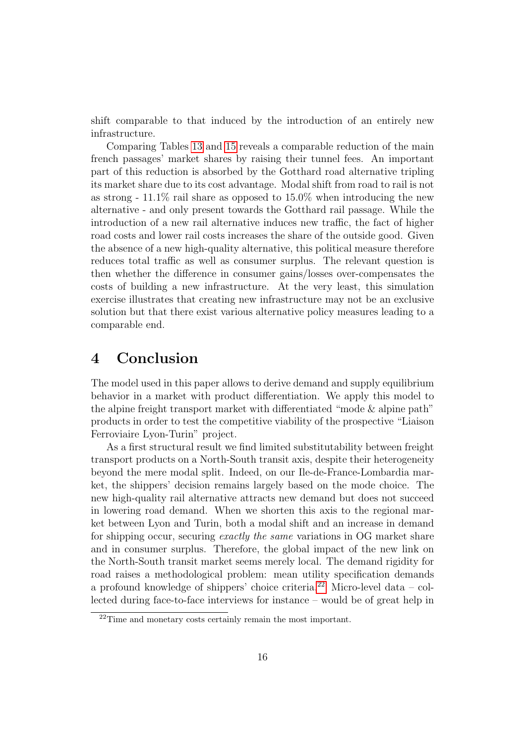shift comparable to that induced by the introduction of an entirely new infrastructure.

Comparing Tables [13](#page-31-0) and [15](#page-32-0) reveals a comparable reduction of the main french passages' market shares by raising their tunnel fees. An important part of this reduction is absorbed by the Gotthard road alternative tripling its market share due to its cost advantage. Modal shift from road to rail is not as strong -  $11.1\%$  rail share as opposed to  $15.0\%$  when introducing the new alternative - and only present towards the Gotthard rail passage. While the introduction of a new rail alternative induces new traffic, the fact of higher road costs and lower rail costs increases the share of the outside good. Given the absence of a new high-quality alternative, this political measure therefore reduces total traffic as well as consumer surplus. The relevant question is then whether the difference in consumer gains/losses over-compensates the costs of building a new infrastructure. At the very least, this simulation exercise illustrates that creating new infrastructure may not be an exclusive solution but that there exist various alternative policy measures leading to a comparable end.

### <span id="page-21-0"></span>4 Conclusion

The model used in this paper allows to derive demand and supply equilibrium behavior in a market with product differentiation. We apply this model to the alpine freight transport market with differentiated "mode & alpine path" products in order to test the competitive viability of the prospective "Liaison Ferroviaire Lyon-Turin" project.

As a first structural result we find limited substitutability between freight transport products on a North-South transit axis, despite their heterogeneity beyond the mere modal split. Indeed, on our Ile-de-France-Lombardia market, the shippers' decision remains largely based on the mode choice. The new high-quality rail alternative attracts new demand but does not succeed in lowering road demand. When we shorten this axis to the regional market between Lyon and Turin, both a modal shift and an increase in demand for shipping occur, securing exactly the same variations in OG market share and in consumer surplus. Therefore, the global impact of the new link on the North-South transit market seems merely local. The demand rigidity for road raises a methodological problem: mean utility specification demands a profound knowledge of shippers' choice criteria.<sup>[22](#page-21-1)</sup> Micro-level data – collected during face-to-face interviews for instance – would be of great help in

<span id="page-21-1"></span> $22$ Time and monetary costs certainly remain the most important.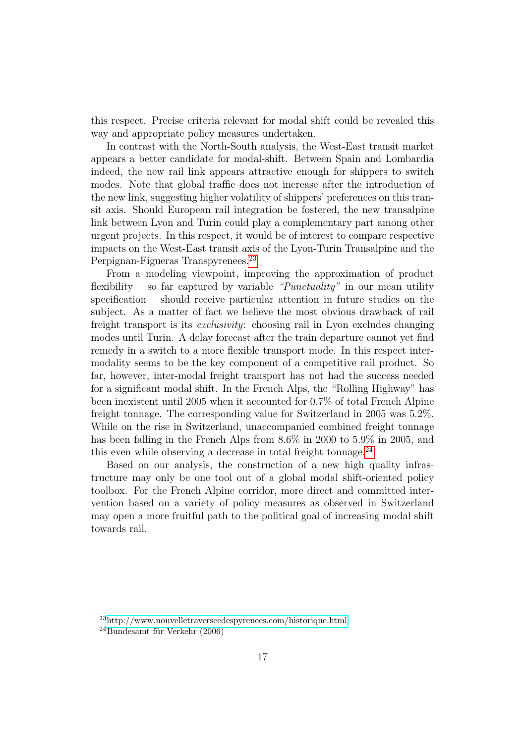this respect. Precise criteria relevant for modal shift could be revealed this way and appropriate policy measures undertaken.

In contrast with the North-South analysis, the West-East transit market appears a better candidate for modal-shift. Between Spain and Lombardia indeed, the new rail link appears attractive enough for shippers to switch modes. Note that global traffic does not increase after the introduction of the new link, suggesting higher volatility of shippers' preferences on this transit axis. Should European rail integration be fostered, the new transalpine link between Lyon and Turin could play a complementary part among other urgent projects. In this respect, it would be of interest to compare respective impacts on the West-East transit axis of the Lyon-Turin Transalpine and the Perpignan-Figueras Transpyrenees.<sup>[23](#page-22-0)</sup>

From a modeling viewpoint, improving the approximation of product flexibility – so far captured by variable " $Punctuality$ " in our mean utility specification – should receive particular attention in future studies on the subject. As a matter of fact we believe the most obvious drawback of rail freight transport is its exclusivity: choosing rail in Lyon excludes changing modes until Turin. A delay forecast after the train departure cannot yet find remedy in a switch to a more flexible transport mode. In this respect intermodality seems to be the key component of a competitive rail product. So far, however, inter-modal freight transport has not had the success needed for a significant modal shift. In the French Alps, the "Rolling Highway" has been inexistent until 2005 when it accounted for 0.7% of total French Alpine freight tonnage. The corresponding value for Switzerland in 2005 was 5.2%. While on the rise in Switzerland, unaccompanied combined freight tonnage has been falling in the French Alps from  $8.6\%$  in 2000 to 5.9% in 2005, and this even while observing a decrease in total freight tonnage. $^{24}$  $^{24}$  $^{24}$ 

Based on our analysis, the construction of a new high quality infrastructure may only be one tool out of a global modal shift-oriented policy toolbox. For the French Alpine corridor, more direct and committed intervention based on a variety of policy measures as observed in Switzerland may open a more fruitful path to the political goal of increasing modal shift towards rail.

<span id="page-22-0"></span><sup>23</sup><http://www.nouvelletraverseedespyrenees.com/historique.html>

<span id="page-22-1"></span> $^{24}$ Bundesamt für Verkehr (2006)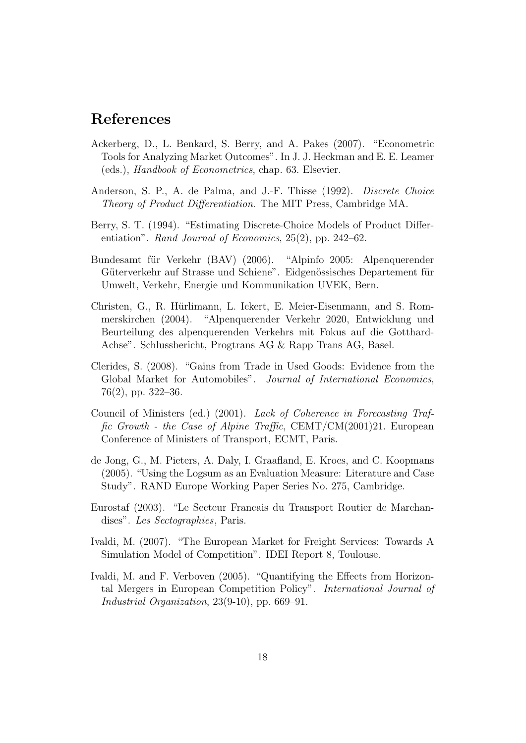### References

- Ackerberg, D., L. Benkard, S. Berry, and A. Pakes (2007). "Econometric Tools for Analyzing Market Outcomes". In J. J. Heckman and E. E. Leamer (eds.), Handbook of Econometrics, chap. 63. Elsevier.
- Anderson, S. P., A. de Palma, and J.-F. Thisse (1992). Discrete Choice Theory of Product Differentiation. The MIT Press, Cambridge MA.
- Berry, S. T. (1994). "Estimating Discrete-Choice Models of Product Differentiation". Rand Journal of Economics, 25(2), pp. 242–62.
- Bundesamt für Verkehr (BAV) (2006). "Alpinfo 2005: Alpenquerender Güterverkehr auf Strasse und Schiene". Eidgenössisches Departement für Umwelt, Verkehr, Energie und Kommunikation UVEK, Bern.
- Christen, G., R. Hürlimann, L. Ickert, E. Meier-Eisenmann, and S. Rommerskirchen (2004). "Alpenquerender Verkehr 2020, Entwicklung und Beurteilung des alpenquerenden Verkehrs mit Fokus auf die Gotthard-Achse". Schlussbericht, Progtrans AG & Rapp Trans AG, Basel.
- Clerides, S. (2008). "Gains from Trade in Used Goods: Evidence from the Global Market for Automobiles". Journal of International Economics, 76(2), pp. 322–36.
- Council of Ministers (ed.) (2001). Lack of Coherence in Forecasting Traffic Growth - the Case of Alpine Traffic, CEMT/CM(2001)21. European Conference of Ministers of Transport, ECMT, Paris.
- de Jong, G., M. Pieters, A. Daly, I. Graafland, E. Kroes, and C. Koopmans (2005). "Using the Logsum as an Evaluation Measure: Literature and Case Study". RAND Europe Working Paper Series No. 275, Cambridge.
- Eurostaf (2003). "Le Secteur Francais du Transport Routier de Marchandises". Les Sectographies, Paris.
- Ivaldi, M. (2007). "The European Market for Freight Services: Towards A Simulation Model of Competition". IDEI Report 8, Toulouse.
- Ivaldi, M. and F. Verboven (2005). "Quantifying the Effects from Horizontal Mergers in European Competition Policy". International Journal of Industrial Organization, 23(9-10), pp. 669–91.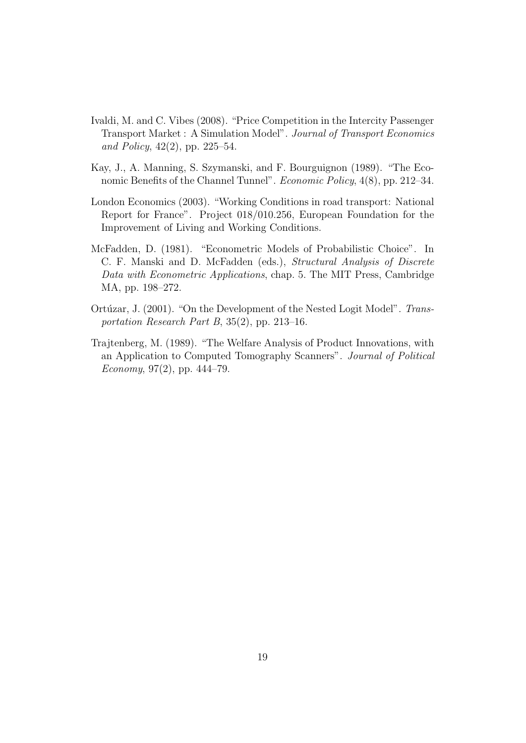- Ivaldi, M. and C. Vibes (2008). "Price Competition in the Intercity Passenger Transport Market : A Simulation Model". Journal of Transport Economics and Policy, 42(2), pp. 225–54.
- Kay, J., A. Manning, S. Szymanski, and F. Bourguignon (1989). "The Economic Benefits of the Channel Tunnel". *Economic Policy*, 4(8), pp. 212–34.
- London Economics (2003). "Working Conditions in road transport: National Report for France". Project 018/010.256, European Foundation for the Improvement of Living and Working Conditions.
- McFadden, D. (1981). "Econometric Models of Probabilistic Choice". In C. F. Manski and D. McFadden (eds.), Structural Analysis of Discrete Data with Econometric Applications, chap. 5. The MIT Press, Cambridge MA, pp. 198–272.
- Ortúzar, J. (2001). "On the Development of the Nested Logit Model". Transportation Research Part B, 35(2), pp. 213–16.
- Trajtenberg, M. (1989). "The Welfare Analysis of Product Innovations, with an Application to Computed Tomography Scanners". Journal of Political Economy, 97 $(2)$ , pp. 444–79.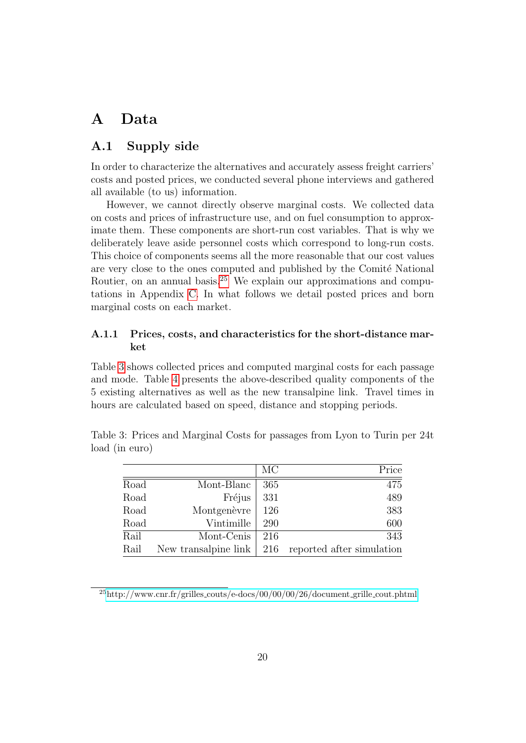## <span id="page-25-0"></span>A Data

### <span id="page-25-1"></span>A.1 Supply side

In order to characterize the alternatives and accurately assess freight carriers' costs and posted prices, we conducted several phone interviews and gathered all available (to us) information.

However, we cannot directly observe marginal costs. We collected data on costs and prices of infrastructure use, and on fuel consumption to approximate them. These components are short-run cost variables. That is why we deliberately leave aside personnel costs which correspond to long-run costs. This choice of components seems all the more reasonable that our cost values are very close to the ones computed and published by the Comité National Routier, on an annual basis.<sup>[25](#page-25-2)</sup> We explain our approximations and computations in Appendix [C.](#page-32-1) In what follows we detail posted prices and born marginal costs on each market.

#### A.1.1 Prices, costs, and characteristics for the short-distance market

Table [3](#page-25-3) shows collected prices and computed marginal costs for each passage and mode. Table [4](#page-26-0) presents the above-described quality components of the 5 existing alternatives as well as the new transalpine link. Travel times in hours are calculated based on speed, distance and stopping periods.

<span id="page-25-3"></span>

|      |                      | MC  | Price                     |
|------|----------------------|-----|---------------------------|
| Road | Mont-Blanc           | 365 | 475                       |
| Road | Fréjus               | 331 | 489                       |
| Road | Montgenèvre          | 126 | 383                       |
| Road | Vintimille           | 290 | 600                       |
| Rail | Mont-Cenis           | 216 | 343                       |
| Rail | New transalpine link | 216 | reported after simulation |

Table 3: Prices and Marginal Costs for passages from Lyon to Turin per 24t load (in euro)

<span id="page-25-2"></span> $^{25}$ http://www.cnr.fr/grilles\_[couts/e-docs/00/00/00/26/document](http://www.cnr.fr/grilles_couts/e-docs/00/00/00/26/document_grille_cout.phtml)\_grille\_cout.phtml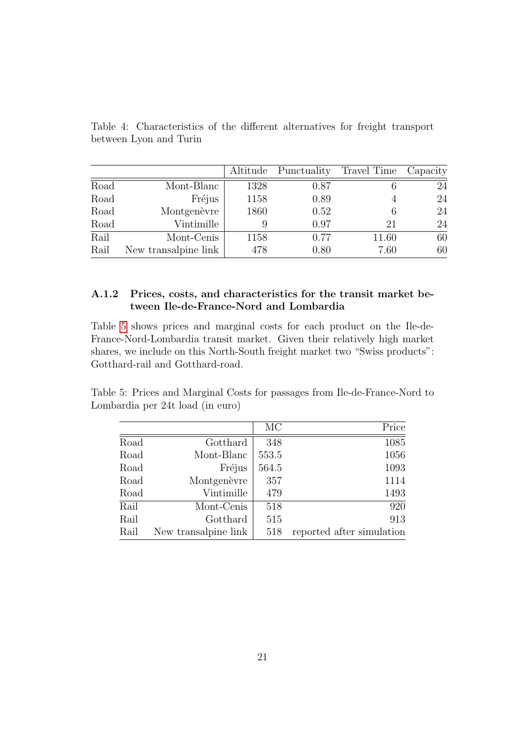|      |                      | Altitude | Punctuality | Travel Time | Capacity |
|------|----------------------|----------|-------------|-------------|----------|
| Road | Mont-Blanc           | 1328     | 0.87        |             | 24       |
| Road | Fréjus               | 1158     | 0.89        |             | 24       |
| Road | Montgenèvre          | 1860     | 0.52        | 6           | 24       |
| Road | Vintimille           | 9        | 0.97        | 21          | 24       |
| Rail | Mont-Cenis           | 1158     | 0.77        | 11.60       | 60       |
| Rail | New transalpine link | 478      | 0.80        | 7.60        | 60       |
|      |                      |          |             |             |          |

<span id="page-26-0"></span>Table 4: Characteristics of the different alternatives for freight transport between Lyon and Turin

#### A.1.2 Prices, costs, and characteristics for the transit market between Ile-de-France-Nord and Lombardia

Table [5](#page-26-1) shows prices and marginal costs for each product on the Ile-de-France-Nord-Lombardia transit market. Given their relatively high market shares, we include on this North-South freight market two "Swiss products": Gotthard-rail and Gotthard-road.

Table 5: Prices and Marginal Costs for passages from Ile-de-France-Nord to Lombardia per 24t load (in euro)

<span id="page-26-1"></span>

|      |                      | MC    | Price                     |
|------|----------------------|-------|---------------------------|
| Road | Gotthard             | 348   | 1085                      |
| Road | Mont-Blanc           | 553.5 | 1056                      |
| Road | Fréjus               | 564.5 | 1093                      |
| Road | Montgenèvre          | 357   | 1114                      |
| Road | Vintimille           | 479   | 1493                      |
| Rail | Mont-Cenis           | 518   | 920                       |
| Rail | Gotthard             | 515   | 913                       |
| Rail | New transalpine link | 518   | reported after simulation |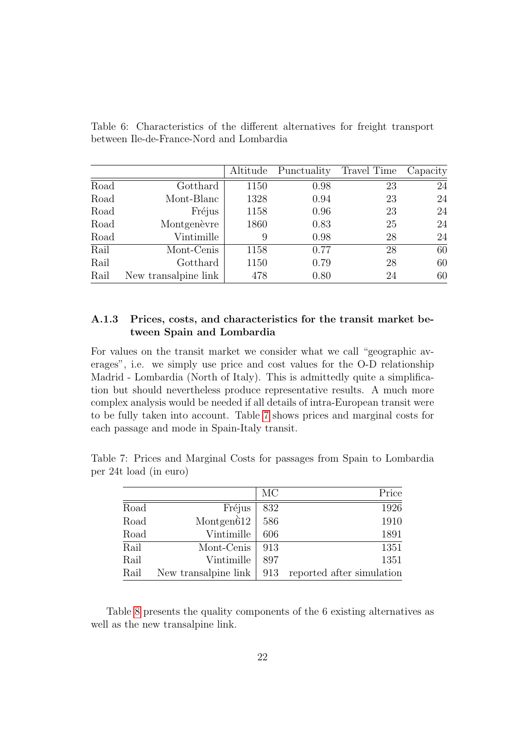|      |                      | Altitude | Punctuality | Travel Time | Capacity |
|------|----------------------|----------|-------------|-------------|----------|
| Road | Gotthard             | 1150     | 0.98        | 23          | 24       |
| Road | Mont-Blanc           | 1328     | 0.94        | 23          | 24       |
| Road | Fréjus               | 1158     | 0.96        | 23          | 24       |
| Road | Montgenèvre          | 1860     | 0.83        | 25          | 24       |
| Road | Vintimille           | 9        | 0.98        | 28          | 24       |
| Rail | Mont-Cenis           | 1158     | 0.77        | 28          | 60       |
| Rail | Gotthard             | 1150     | 0.79        | 28          | 60       |
| Rail | New transalpine link | 478      | 0.80        | 24          | 60       |

Table 6: Characteristics of the different alternatives for freight transport between Ile-de-France-Nord and Lombardia

#### A.1.3 Prices, costs, and characteristics for the transit market between Spain and Lombardia

For values on the transit market we consider what we call "geographic averages", i.e. we simply use price and cost values for the O-D relationship Madrid - Lombardia (North of Italy). This is admittedly quite a simplification but should nevertheless produce representative results. A much more complex analysis would be needed if all details of intra-European transit were to be fully taken into account. Table [7](#page-27-0) shows prices and marginal costs for each passage and mode in Spain-Italy transit.

<span id="page-27-0"></span>

|      |                      | MC  | Price                     |
|------|----------------------|-----|---------------------------|
| Road | Fréjus               | 832 | 1926                      |
| Road | Montgen $612$        | 586 | 1910                      |
| Road | Vintimille           | 606 | 1891                      |
| Rail | Mont-Cenis           | 913 | 1351                      |
| Rail | Vintimille           | 897 | 1351                      |
| Rail | New transalpine link | 913 | reported after simulation |

Table 7: Prices and Marginal Costs for passages from Spain to Lombardia per 24t load (in euro)

Table [8](#page-28-0) presents the quality components of the 6 existing alternatives as well as the new transalpine link.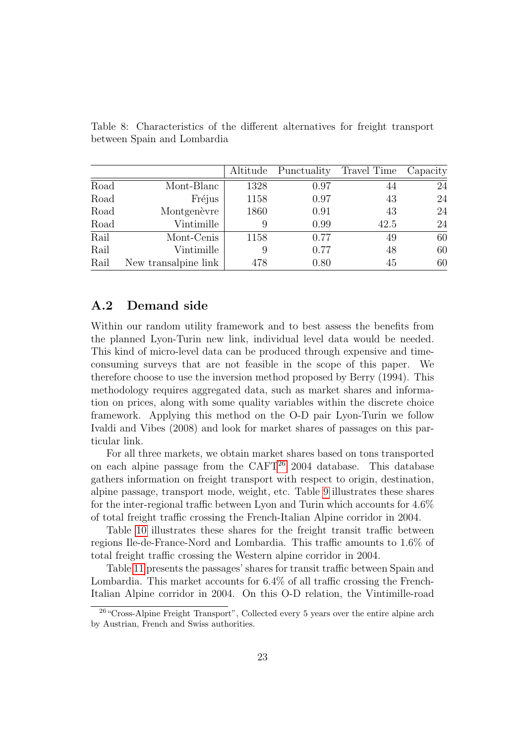|      |                      | Altitude | Punctuality | Travel Time | Capacity |
|------|----------------------|----------|-------------|-------------|----------|
| Road | Mont-Blanc           | 1328     | 0.97        |             | 24       |
| Road | Fréjus               | 1158     | 0.97        | 43          | 24       |
| Road | Montgenèvre          | 1860     | 0.91        | 43          | 24       |
| Road | Vintimille           | 9        | 0.99        | 42.5        | 24       |
| Rail | Mont-Cenis           | 1158     | 0.77        | 49          | 60       |
| Rail | Vintimille           | 9        | 0.77        | 48          | 60       |
| Rail | New transalpine link | 478      | 0.80        | 45          | 60       |

<span id="page-28-0"></span>Table 8: Characteristics of the different alternatives for freight transport between Spain and Lombardia

### A.2 Demand side

Within our random utility framework and to best assess the benefits from the planned Lyon-Turin new link, individual level data would be needed. This kind of micro-level data can be produced through expensive and timeconsuming surveys that are not feasible in the scope of this paper. We therefore choose to use the inversion method proposed by Berry (1994). This methodology requires aggregated data, such as market shares and information on prices, along with some quality variables within the discrete choice framework. Applying this method on the O-D pair Lyon-Turin we follow Ivaldi and Vibes (2008) and look for market shares of passages on this particular link.

For all three markets, we obtain market shares based on tons transported on each alpine passage from the  $CAFT^{26}$  $CAFT^{26}$  $CAFT^{26}$  2004 database. This database gathers information on freight transport with respect to origin, destination, alpine passage, transport mode, weight, etc. Table [9](#page-29-0) illustrates these shares for the inter-regional traffic between Lyon and Turin which accounts for 4.6% of total freight traffic crossing the French-Italian Alpine corridor in 2004.

Table [10](#page-29-1) illustrates these shares for the freight transit traffic between regions Ile-de-France-Nord and Lombardia. This traffic amounts to 1.6% of total freight traffic crossing the Western alpine corridor in 2004.

Table [11](#page-30-2) presents the passages' shares for transit traffic between Spain and Lombardia. This market accounts for 6.4% of all traffic crossing the French-Italian Alpine corridor in 2004. On this O-D relation, the Vintimille-road

<span id="page-28-1"></span><sup>&</sup>lt;sup>26</sup> "Cross-Alpine Freight Transport", Collected every 5 years over the entire alpine arch by Austrian, French and Swiss authorities.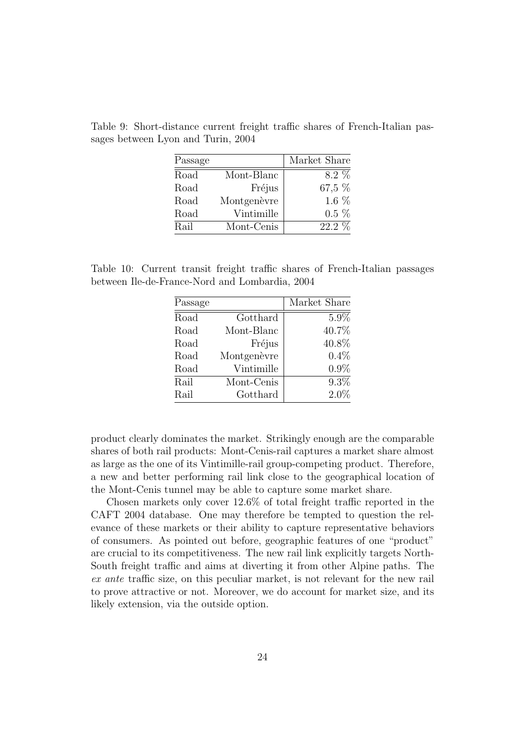| Passage |             | Market Share |
|---------|-------------|--------------|
| Road    | Mont-Blanc  | 8.2 %        |
| Road    | Fréjus      | 67,5 %       |
| Road    | Montgenèvre | 1.6 $%$      |
| Road    | Vintimille  | $0.5\%$      |
| Rail    | Mont-Cenis  | $22.2\%$     |

<span id="page-29-0"></span>Table 9: Short-distance current freight traffic shares of French-Italian passages between Lyon and Turin, 2004

Table 10: Current transit freight traffic shares of French-Italian passages between Ile-de-France-Nord and Lombardia, 2004

<span id="page-29-1"></span>

| Passage |             | Market Share |
|---------|-------------|--------------|
| Road    | Gotthard    | 5.9%         |
| Road    | Mont-Blanc  | 40.7%        |
| Road    | Fréjus      | 40.8%        |
| Road    | Montgenèvre | $0.4\%$      |
| Road    | Vintimille  | $0.9\%$      |
| Rail    | Mont-Cenis  | $9.3\%$      |
| Rail    | Gotthard    | $2.0\%$      |

product clearly dominates the market. Strikingly enough are the comparable shares of both rail products: Mont-Cenis-rail captures a market share almost as large as the one of its Vintimille-rail group-competing product. Therefore, a new and better performing rail link close to the geographical location of the Mont-Cenis tunnel may be able to capture some market share.

Chosen markets only cover 12.6% of total freight traffic reported in the CAFT 2004 database. One may therefore be tempted to question the relevance of these markets or their ability to capture representative behaviors of consumers. As pointed out before, geographic features of one "product" are crucial to its competitiveness. The new rail link explicitly targets North-South freight traffic and aims at diverting it from other Alpine paths. The ex ante traffic size, on this peculiar market, is not relevant for the new rail to prove attractive or not. Moreover, we do account for market size, and its likely extension, via the outside option.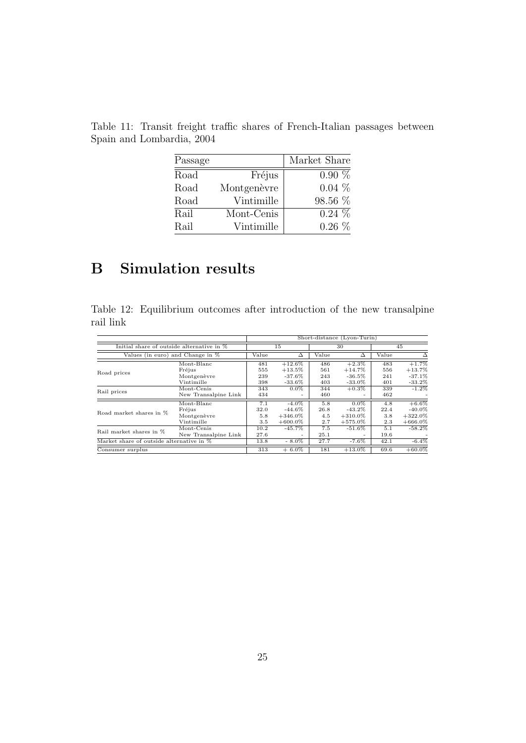<span id="page-30-2"></span>

| Passage |             | Market Share |
|---------|-------------|--------------|
| Road    | Fréjus      | $0.90\%$     |
| Road    | Montgenèvre | $0.04\%$     |
| Road    | Vintimille  | 98.56 %      |
| Rail    | Mont-Cenis  | $0.24\%$     |
| Rail    | Vintimille  | $0.26\%$     |

Table 11: Transit freight traffic shares of French-Italian passages between Spain and Lombardia, 2004

# <span id="page-30-1"></span>B Simulation results

<span id="page-30-0"></span>Table 12: Equilibrium outcomes after introduction of the new transalpine rail link

|                                           |                      |       | Short-distance (Lyon-Turin) |         |                          |       |            |  |  |
|-------------------------------------------|----------------------|-------|-----------------------------|---------|--------------------------|-------|------------|--|--|
| Initial share of outside alternative in % |                      |       | 15                          |         | 30                       |       | 45         |  |  |
| Values (in euro) and Change in $%$        |                      | Value | Δ                           | Value   | Δ                        | Value | Δ          |  |  |
|                                           | Mont-Blanc           | 481   | $+12.6\%$                   | 486     | $+2.3\%$                 | 483   | $+1.7%$    |  |  |
| Road prices                               | Fréjus               | 555   | $+13.5\%$                   | 561     | $+14.7\%$                | 556   | $+13.7%$   |  |  |
|                                           | Montgenèvre          | 239   | $-37.6%$                    | 243     | $-36.5%$                 | 241   | $-37.1%$   |  |  |
|                                           | Vintimille           | 398   | $-33.6\%$                   | 403     | $-33.0\%$                | 401   | $-33.2%$   |  |  |
| Rail prices                               | Mont-Cenis           | 343   | $0.0\%$                     | 344     | $+0.3\%$                 | 339   | $-1.2%$    |  |  |
|                                           | New Transalpine Link | 434   | -                           | 460     | -                        | 462   |            |  |  |
|                                           | Mont-Blanc           | 7.1   | $-4.0\%$                    | 5.8     | $0.0\%$                  | 4.8   | $+6.6%$    |  |  |
| Road market shares in %                   | Fréjus               | 32.0  | $-44.6\%$                   | 26.8    | $-43.2\%$                | 22.4  | $-40.0\%$  |  |  |
|                                           | Montgenèvre          | 5.8   | $+346.0\%$                  | 4.5     | $+310.0\%$               | 3.8   | $+322.0\%$ |  |  |
|                                           | Vintimille           | 3.5   | $+600.0\%$                  | $2.7\,$ | $+575.0\%$               | 2.3   | $+666.0\%$ |  |  |
| Rail market shares in %                   | Mont-Cenis           | 10.2  | $-45.7\%$                   | 7.5     | $-51.6\%$                | 5.1   | $-58.2%$   |  |  |
|                                           | New Transalpine Link | 27.6  | -                           | 25.1    | $\overline{\phantom{a}}$ | 19.6  |            |  |  |
| Market share of outside alternative in %  |                      | 13.8  | $-8.0\%$                    | 27.7    | $-7.6\%$                 | 42.1  | $-6.4%$    |  |  |
| Consumer surplus                          |                      | 313   | $+6.0\%$                    | 181     | $+13.0\%$                | 69.6  | $+60.0\%$  |  |  |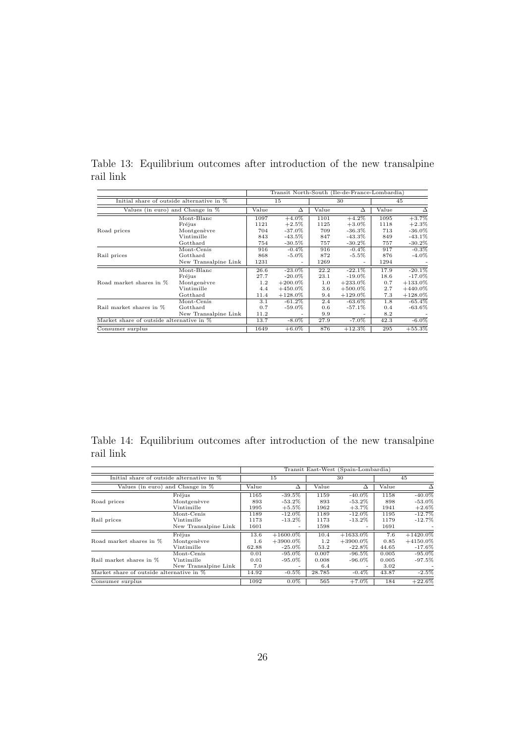|                                           |                      | Transit North-South (Ile-de-France-Lombardia) |                          |       |                      |       |            |
|-------------------------------------------|----------------------|-----------------------------------------------|--------------------------|-------|----------------------|-------|------------|
| Initial share of outside alternative in % |                      | 15                                            |                          | 30    |                      | 45    |            |
| Values (in euro) and Change in $%$        |                      | Value                                         | $\Delta$                 | Value | $\overline{\Delta}$  | Value | Δ          |
|                                           | Mont-Blanc           | 1097                                          | $+4.0\%$                 | 1101  | $+4.2\%$             | 1095  | $+3.7\%$   |
|                                           | Fréjus               | 1121                                          | $+2.5%$                  | 1125  | $+3.0\%$             | 1118  | $+2.3\%$   |
| Road prices                               | Montgenèvre          | 704                                           | $-37.0\%$                | 709   | $-36.3\%$            | 713   | $-36.0\%$  |
|                                           | Vintimille           | 843                                           | $-43.5\%$                | 847   | $-43.3\%$            | 849   | $-43.1\%$  |
|                                           | Gotthard             | 754                                           | $-30.5\%$                | 757   | $-30.2\%$            | 757   | $-30.2\%$  |
| Rail prices                               | Mont-Cenis           | 916                                           | $-0.4\%$                 | 916   | $-0.4\%$             | 917   | $-0.3\%$   |
|                                           | Gotthard             | 868                                           | $-5.0\%$                 | 872   | $-5.5\%$             | 876   | $-4.0\%$   |
|                                           | New Transalpine Link | 1231                                          | $\overline{\phantom{0}}$ | 1269  |                      | 1294  |            |
| Road market shares in %                   | Mont-Blanc           | 26.6                                          | $-23.0\%$                | 22.2  | $-22.1\%$            | 17.9  | $-20.1\%$  |
|                                           | Fréjus               | 27.7                                          | $-20.0\%$                | 23.1  | $-19.0\%$            | 18.6  | $-17.0\%$  |
|                                           | Montgenèvre          | 1.2                                           | $+200.0\%$               | 1.0   | $+233.0\%$           | 0.7   | $+133.0\%$ |
|                                           | Vintimille           | 4.4                                           | $+450.0\%$               | 3.6   | $+500.0\%$           | 2.7   | $+440.0\%$ |
|                                           | Gotthard             | 11.4                                          | $+128.0\%$               | 9.4   | $+129.0\%$           | 7.3   | $+128.0\%$ |
| Rail market shares in %                   | Mont-Cenis           | 3.1                                           | $-61.2\%$                | 2.4   | $-63.\overline{6\%}$ | 1.8   | $-65.4%$   |
|                                           | Gotthard             | 0.7                                           | $-59.0\%$                | 0.6   | $-57.1\%$            | 0.4   | $-63.6\%$  |
|                                           | New Transalpine Link | 11.2                                          |                          | 9.9   |                      | 8.2   |            |
| Market share of outside alternative in %  |                      | 13.7                                          | $-8.0\%$                 | 27.9  | $-7.0\%$             | 42.3  | $-6.0\%$   |
| Consumer surplus                          |                      | 1649                                          | $+6.0\%$                 | 876   | $+12.3\%$            | 295   | $+55.3%$   |

<span id="page-31-0"></span>Table 13: Equilibrium outcomes after introduction of the new transalpine rail link

<span id="page-31-1"></span>Table 14: Equilibrium outcomes after introduction of the new transalpine rail link

|                                           |                                                  | Transit East-West (Spain-Lombardia) |                                         |                       |                                                    |                        |                                        |
|-------------------------------------------|--------------------------------------------------|-------------------------------------|-----------------------------------------|-----------------------|----------------------------------------------------|------------------------|----------------------------------------|
| Initial share of outside alternative in % |                                                  | 15                                  |                                         | 30                    |                                                    | 45                     |                                        |
| Values (in euro) and Change in %          |                                                  | Value                               | Δ                                       | Value                 | Δ                                                  | Value                  | Δ                                      |
| Road prices                               | Fréjus<br>Montgenèvre                            | 1165<br>893                         | $-39.5%$<br>$-53.2\%$                   | 1159<br>893           | $-40.0\%$<br>$-53.2\%$                             | 1158<br>898            | $-40.0\%$<br>$-53.0\%$                 |
|                                           | Vintimille                                       | 1995                                | $+5.5%$                                 | 1962                  | $+3.7\%$                                           | 1941                   | $+2.6%$                                |
| Rail prices                               | Mont-Cenis<br>Vintimille<br>New Transalpine Link | 1189<br>1173<br>1601                | $-12.0\%$<br>$-13.2\%$                  | 1189<br>1173<br>1598  | $-12.0\%$<br>$-13.2\%$<br>$\overline{\phantom{0}}$ | 1195<br>1179<br>1691   | $-12.7%$<br>$-12.7%$                   |
| Road market shares in %                   | Fréjus<br>Montgenèvre<br>Vintimille              | 13.6<br>1.6<br>62.88                | $+1600.0\%$<br>$+3900.0\%$<br>$-25.0\%$ | 10.4<br>1.2<br>53.2   | $+1633.0\%$<br>$+3900.0\%$<br>$-22.8\%$            | 7.6<br>0.85<br>44.65   | $+1420.0\%$<br>$+4150.0\%$<br>$-17.6%$ |
| Rail market shares in %                   | Mont-Cenis<br>Vintimille<br>New Transalpine Link | 0.01<br>0.01<br>7.0                 | $-95.0\%$<br>$-95.0\%$                  | 0.007<br>0.008<br>6.4 | $-96.5\%$<br>$-96.0\%$<br>-                        | 0.005<br>0.005<br>3.02 | $-95.0\%$<br>$-97.5\%$                 |
| Market share of outside alternative in %  |                                                  | 14.92                               | $-0.5\%$                                | 28.785                | $-0.4\%$                                           | 43.87                  | $-2.5%$                                |
| Consumer surplus                          |                                                  | 1092                                | $0.0\%$                                 | 565                   | $+7.0\%$                                           | 184                    | $+22.6%$                               |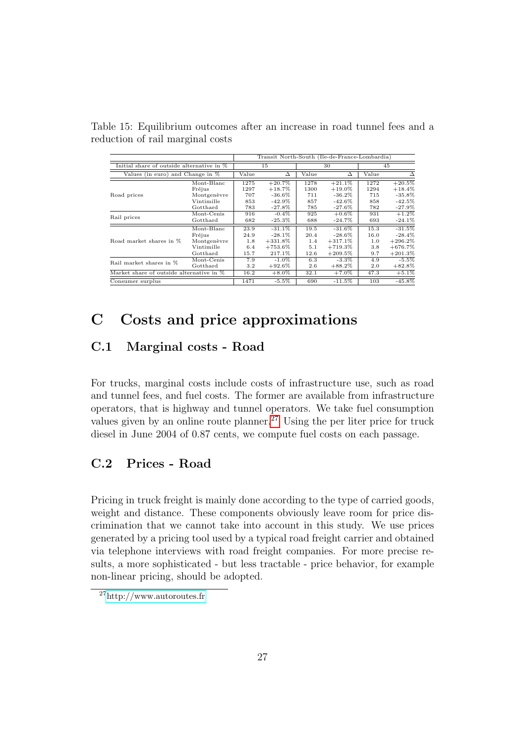<span id="page-32-0"></span>

|                                           |                           | Transit North-South (Ile-de-France-Lombardia) |            |       |           |       |            |
|-------------------------------------------|---------------------------|-----------------------------------------------|------------|-------|-----------|-------|------------|
| Initial share of outside alternative in % |                           | 15                                            |            | 30    |           | 45    |            |
| Values (in euro) and Change in %          |                           | Value                                         | Δ          | Value | Δ         | Value | Δ          |
|                                           | Mont-Blanc                | 1275                                          | $+20.7\%$  | 1278  | $+21.1%$  | 1272  | $+20.5%$   |
|                                           | Fréjus                    | 1297                                          | $+18.7\%$  | 1300  | $+19.0\%$ | 1294  | $+18.4\%$  |
| Road prices                               | Montgenèvre               | 707                                           | $-36.6\%$  | 711   | $-36.2\%$ | 715   | $-35.8%$   |
|                                           | Vintimille                | 853                                           | $-42.9\%$  | 857   | $-42.6\%$ | 858   | $-42.5%$   |
|                                           | Gotthard                  | 783                                           | $-27.8\%$  | 785   | $-27.6\%$ | 782   | $-27.9%$   |
| Rail prices                               | Mont-Cenis                | 916                                           | $-0.4\%$   | 925   | $+0.6\%$  | 931   | $+1.2%$    |
|                                           | Gotthard                  | 682                                           | $-25.3%$   | 688   | $-24.7\%$ | 693   | $-24.1\%$  |
| Road market shares in %                   | Mont-Blanc                | 23.9                                          | $-31.1%$   | 19.5  | $-31.6\%$ | 15.3  | $-31.5%$   |
|                                           | Fréjus                    | 24.9                                          | $-28.1\%$  | 20.4  | $-28.6\%$ | 16.0  | $-28.4\%$  |
|                                           | Montgenèvre               | 1.8                                           | $+331.8%$  | 1.4   | $+317.1%$ | 1.0   | $+296.2\%$ |
|                                           | Vintimille                | 6.4                                           | $+753.6\%$ | 5.1   | $+719.3%$ | 3.8   | $+676.7%$  |
|                                           | $\operatorname{Gotthard}$ | 15.7                                          | 217.1%     | 12.6  | $+209.5%$ | 9.7   | $+201.3%$  |
| Rail market shares in %                   | Mont-Cenis                | 7.9                                           | $-1.0\%$   | 6.3   | $-3.3\%$  | 4.9   | $-5.5%$    |
|                                           | Gotthard                  | 3.2                                           | $+92.6\%$  | 2.6   | $+88.2\%$ | 2.0   | $+82.8\%$  |
| Market share of outside alternative in %  |                           | 16.2                                          | $+8.0\%$   | 32.1  | $+7.0\%$  | 47.3  | $+5.1%$    |
| Consumer surplus                          |                           | 1471                                          | $-5.5%$    | 690   | $-11.5%$  | 103   | $-45.8\%$  |

Table 15: Equilibrium outcomes after an increase in road tunnel fees and a reduction of rail marginal costs

## <span id="page-32-1"></span>C Costs and price approximations

### C.1 Marginal costs - Road

For trucks, marginal costs include costs of infrastructure use, such as road and tunnel fees, and fuel costs. The former are available from infrastructure operators, that is highway and tunnel operators. We take fuel consumption values given by an online route planner.<sup>[27](#page-32-2)</sup> Using the per liter price for truck diesel in June 2004 of 0.87 cents, we compute fuel costs on each passage.

### C.2 Prices - Road

Pricing in truck freight is mainly done according to the type of carried goods, weight and distance. These components obviously leave room for price discrimination that we cannot take into account in this study. We use prices generated by a pricing tool used by a typical road freight carrier and obtained via telephone interviews with road freight companies. For more precise results, a more sophisticated - but less tractable - price behavior, for example non-linear pricing, should be adopted.

<span id="page-32-2"></span><sup>27</sup><http://www.autoroutes.fr>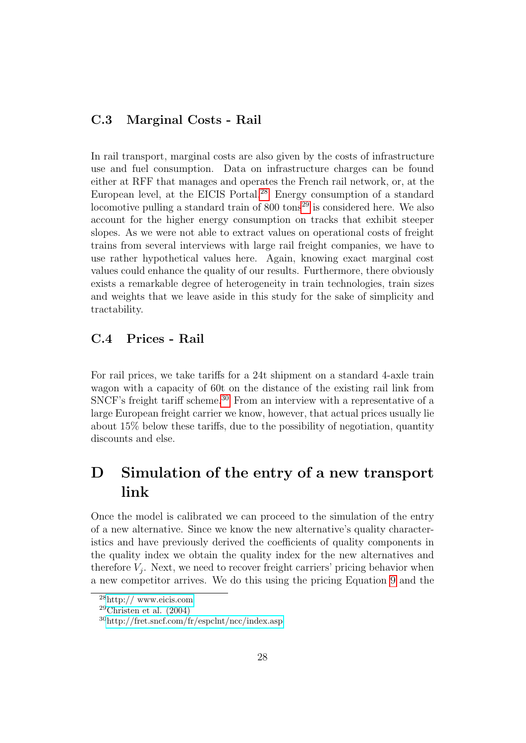### C.3 Marginal Costs - Rail

In rail transport, marginal costs are also given by the costs of infrastructure use and fuel consumption. Data on infrastructure charges can be found either at RFF that manages and operates the French rail network, or, at the European level, at the EICIS Portal.<sup>[28](#page-33-1)</sup> Energy consumption of a standard locomotive pulling a standard train of  $800 \text{ tons}^{29}$  $800 \text{ tons}^{29}$  $800 \text{ tons}^{29}$  is considered here. We also account for the higher energy consumption on tracks that exhibit steeper slopes. As we were not able to extract values on operational costs of freight trains from several interviews with large rail freight companies, we have to use rather hypothetical values here. Again, knowing exact marginal cost values could enhance the quality of our results. Furthermore, there obviously exists a remarkable degree of heterogeneity in train technologies, train sizes and weights that we leave aside in this study for the sake of simplicity and tractability.

#### C.4 Prices - Rail

For rail prices, we take tariffs for a 24t shipment on a standard 4-axle train wagon with a capacity of 60t on the distance of the existing rail link from SNCF's freight tariff scheme.<sup>[30](#page-33-3)</sup> From an interview with a representative of a large European freight carrier we know, however, that actual prices usually lie about 15% below these tariffs, due to the possibility of negotiation, quantity discounts and else.

## <span id="page-33-0"></span>D Simulation of the entry of a new transport link

Once the model is calibrated we can proceed to the simulation of the entry of a new alternative. Since we know the new alternative's quality characteristics and have previously derived the coefficients of quality components in the quality index we obtain the quality index for the new alternatives and therefore  $V_j$ . Next, we need to recover freight carriers' pricing behavior when a new competitor arrives. We do this using the pricing Equation [9](#page-14-1) and the

<span id="page-33-1"></span> $28$ <http:// www.eicis.com>

<span id="page-33-2"></span><sup>&</sup>lt;sup>29</sup>Christen et al.  $(2004)$ 

<span id="page-33-3"></span><sup>30</sup><http://fret.sncf.com/fr/espclnt/ncc/index.asp>